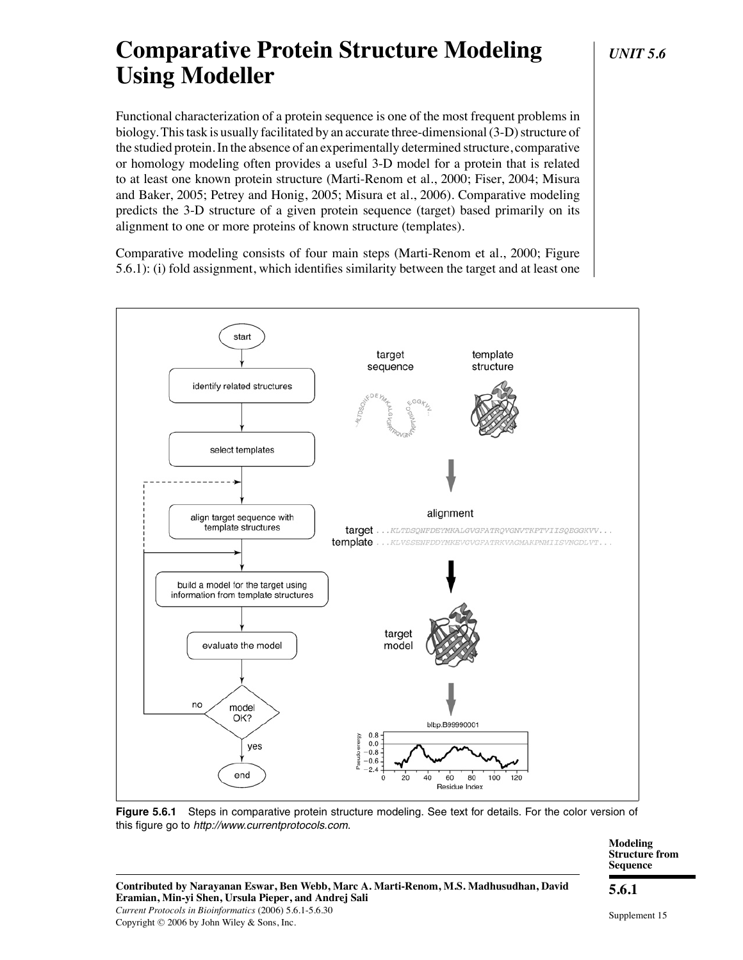# **Comparative Protein Structure Modeling** *UNIT 5.6* **Using Modeller**

Functional characterization of a protein sequence is one of the most frequent problems in biology. This task is usually facilitated by an accurate three-dimensional (3-D) structure of the studied protein. In the absence of an experimentally determined structure, comparative or homology modeling often provides a useful 3-D model for a protein that is related to at least one known protein structure (Marti-Renom et al., 2000; Fiser, 2004; Misura and Baker, 2005; Petrey and Honig, 2005; Misura et al., 2006). Comparative modeling predicts the 3-D structure of a given protein sequence (target) based primarily on its alignment to one or more proteins of known structure (templates).

Comparative modeling consists of four main steps (Marti-Renom et al., 2000; Figure 5.6.1): (i) fold assignment, which identifies similarity between the target and at least one



**Figure 5.6.1** Steps in comparative protein structure modeling. See text for details. For the color version of this figure go to http://www.currentprotocols.com.

**Modeling Structure from Sequence**

**Contributed by Narayanan Eswar, Ben Webb, Marc A. Marti-Renom, M.S. Madhusudhan, David Eramian, Min-yi Shen, Ursula Pieper, and Andrej Sali** *Current Protocols in Bioinformatics* (2006) 5.6.1-5.6.30 Copyright  $\odot$  2006 by John Wiley & Sons, Inc.

Supplement 15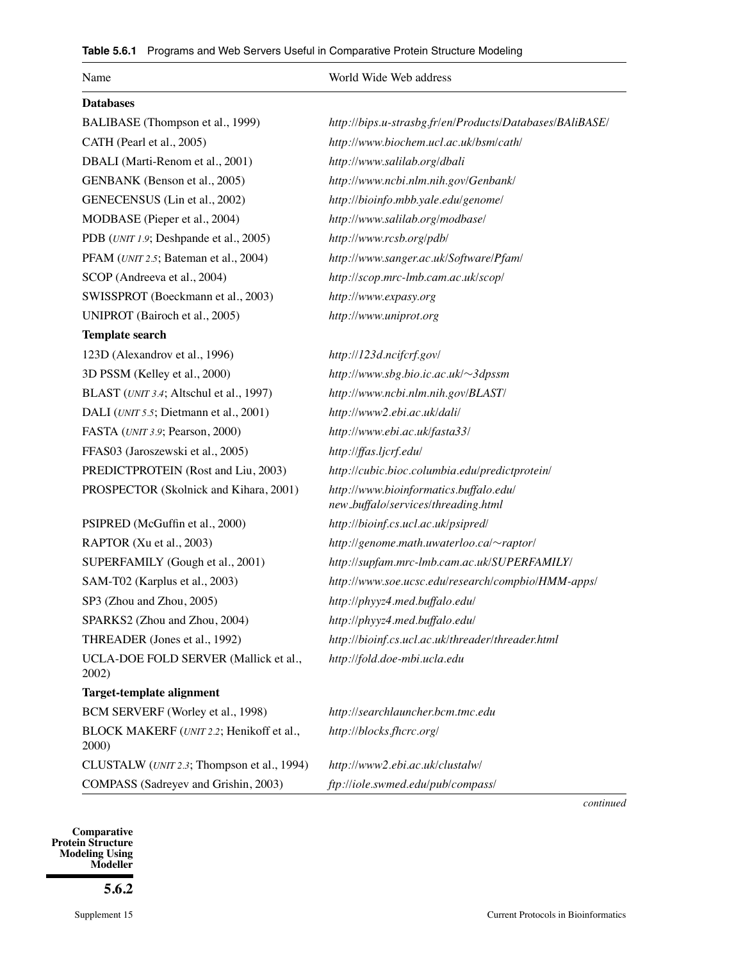## **Table 5.6.1** Programs and Web Servers Useful in Comparative Protein Structure Modeling

| Name                                              | World Wide Web address                                                        |
|---------------------------------------------------|-------------------------------------------------------------------------------|
| <b>Databases</b>                                  |                                                                               |
| BALIBASE (Thompson et al., 1999)                  | http://bips.u-strasbg.fr/en/Products/Databases/BAliBASE/                      |
| CATH (Pearl et al., 2005)                         | http://www.biochem.ucl.ac.uk/bsm/cath/                                        |
| DBALI (Marti-Renom et al., 2001)                  | http://www.salilab.org/dbali                                                  |
| GENBANK (Benson et al., 2005)                     | http://www.ncbi.nlm.nih.gov/Genbank/                                          |
| GENECENSUS (Lin et al., 2002)                     | http://bioinfo.mbb.yale.edu/genome/                                           |
| MODBASE (Pieper et al., 2004)                     | http://www.salilab.org/modbase/                                               |
| PDB (UNIT 1.9; Deshpande et al., 2005)            | http://www.rcsb.org/pdb/                                                      |
| PFAM (UNIT 2.5; Bateman et al., 2004)             | http://www.sanger.ac.uk/Software/Pfam/                                        |
| SCOP (Andreeva et al., 2004)                      | http://scop.mrc-lmb.cam.ac.uk/scop/                                           |
| SWISSPROT (Boeckmann et al., 2003)                | http://www.expasy.org                                                         |
| UNIPROT (Bairoch et al., 2005)                    | http://www.uniprot.org                                                        |
| <b>Template search</b>                            |                                                                               |
| 123D (Alexandrov et al., 1996)                    | http://123d.ncifcrf.gov/                                                      |
| 3D PSSM (Kelley et al., 2000)                     | http://www.sbg.bio.ic.ac.uk/~3dpssm                                           |
| BLAST (UNIT 3.4; Altschul et al., 1997)           | http://www.ncbi.nlm.nih.gov/BLAST/                                            |
| DALI (UNIT 5.5; Dietmann et al., 2001)            | http://www2.ebi.ac.uk/dali/                                                   |
| FASTA (UNIT 3.9; Pearson, 2000)                   | http://www.ebi.ac.uk/fasta33/                                                 |
| FFAS03 (Jaroszewski et al., 2005)                 | http://ffas.ljcrf.edu/                                                        |
| PREDICTPROTEIN (Rost and Liu, 2003)               | http://cubic.bioc.columbia.edu/predictprotein/                                |
| PROSPECTOR (Skolnick and Kihara, 2001)            | http://www.bioinformatics.buffalo.edu/<br>new_buffalo/services/threading.html |
| PSIPRED (McGuffin et al., 2000)                   | http://bioinf.cs.ucl.ac.uk/psipred/                                           |
| RAPTOR (Xu et al., 2003)                          | http://genome.math.uwaterloo.ca/~raptor/                                      |
| SUPERFAMILY (Gough et al., 2001)                  | http://supfam.mrc-lmb.cam.ac.uk/SUPERFAMILY/                                  |
| SAM-T02 (Karplus et al., 2003)                    | http://www.soe.ucsc.edu/research/compbio/HMM-apps/                            |
| SP3 (Zhou and Zhou, 2005)                         | http://phyyz4.med.buffalo.edu/                                                |
| SPARKS2 (Zhou and Zhou, 2004)                     | http://phyyz4.med.buffalo.edu/                                                |
| THREADER (Jones et al., 1992)                     | http://bioinf.cs.ucl.ac.uk/threader/threader.html                             |
| UCLA-DOE FOLD SERVER (Mallick et al.,<br>2002)    | http://fold.doe-mbi.ucla.edu                                                  |
| <b>Target-template alignment</b>                  |                                                                               |
| BCM SERVERF (Worley et al., 1998)                 | http://searchlauncher.bcm.tmc.edu                                             |
| BLOCK MAKERF (UNIT 2.2; Henikoff et al.,<br>2000) | http://blocks.fhcrc.org/                                                      |
| CLUSTALW (UNIT 2.3; Thompson et al., 1994)        | http://www2.ebi.ac.uk/clustalw/                                               |
| COMPASS (Sadreyev and Grishin, 2003)              | ftp://iole.swmed.edu/pub/compass/                                             |

*continued*

**Comparative Protein Structure Modeling Using Modeller**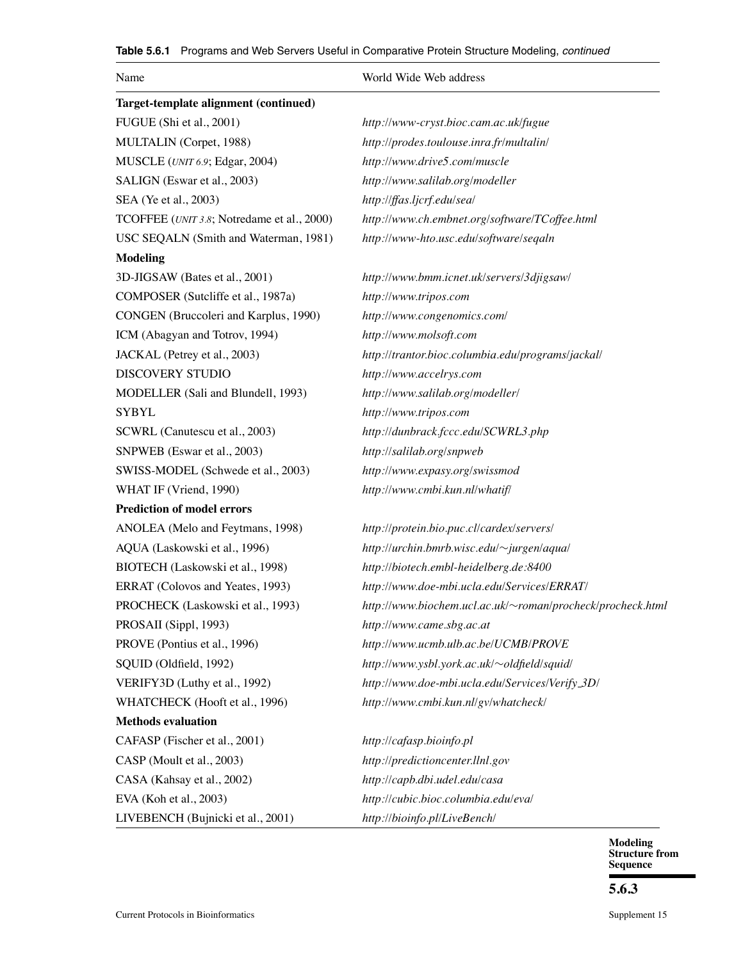# **Table 5.6.1** Programs and Web Servers Useful in Comparative Protein Structure Modeling, continued

| Name                                       | World Wide Web address                                     |  |  |  |  |  |  |  |  |
|--------------------------------------------|------------------------------------------------------------|--|--|--|--|--|--|--|--|
| Target-template alignment (continued)      |                                                            |  |  |  |  |  |  |  |  |
| FUGUE (Shi et al., 2001)                   | http://www-cryst.bioc.cam.ac.uk/fugue                      |  |  |  |  |  |  |  |  |
| MULTALIN (Corpet, 1988)                    | http://prodes.toulouse.inra.fr/multalin/                   |  |  |  |  |  |  |  |  |
| MUSCLE (UNIT 6.9; Edgar, 2004)             | http://www.drive5.com/muscle                               |  |  |  |  |  |  |  |  |
| SALIGN (Eswar et al., 2003)                | http://www.salilab.org/modeller                            |  |  |  |  |  |  |  |  |
| SEA (Ye et al., 2003)                      | http://ffas.ljcrf.edu/sea/                                 |  |  |  |  |  |  |  |  |
| TCOFFEE (UNIT 3.8; Notredame et al., 2000) | http://www.ch.embnet.org/software/TCoffee.html             |  |  |  |  |  |  |  |  |
| USC SEQALN (Smith and Waterman, 1981)      | http://www-hto.usc.edu/software/seqaln                     |  |  |  |  |  |  |  |  |
| <b>Modeling</b>                            |                                                            |  |  |  |  |  |  |  |  |
| 3D-JIGSAW (Bates et al., 2001)             | http://www.bmm.icnet.uk/servers/3djigsaw/                  |  |  |  |  |  |  |  |  |
| COMPOSER (Sutcliffe et al., 1987a)         | http://www.tripos.com                                      |  |  |  |  |  |  |  |  |
| CONGEN (Bruccoleri and Karplus, 1990)      | http://www.congenomics.com/                                |  |  |  |  |  |  |  |  |
| ICM (Abagyan and Totrov, 1994)             | http://www.molsoft.com                                     |  |  |  |  |  |  |  |  |
| JACKAL (Petrey et al., 2003)               | http://trantor.bioc.columbia.edu/programs/jackal/          |  |  |  |  |  |  |  |  |
| <b>DISCOVERY STUDIO</b>                    | http://www.accelrys.com                                    |  |  |  |  |  |  |  |  |
| MODELLER (Sali and Blundell, 1993)         | http://www.salilab.org/modeller/                           |  |  |  |  |  |  |  |  |
| <b>SYBYL</b>                               | http://www.tripos.com                                      |  |  |  |  |  |  |  |  |
| SCWRL (Canutescu et al., 2003)             | http://dunbrack.fccc.edu/SCWRL3.php                        |  |  |  |  |  |  |  |  |
| SNPWEB (Eswar et al., 2003)                | http://salilab.org/snpweb                                  |  |  |  |  |  |  |  |  |
| SWISS-MODEL (Schwede et al., 2003)         | http://www.expasy.org/swissmod                             |  |  |  |  |  |  |  |  |
| WHAT IF (Vriend, 1990)                     | http://www.cmbi.kun.nl/whatif/                             |  |  |  |  |  |  |  |  |
| <b>Prediction of model errors</b>          |                                                            |  |  |  |  |  |  |  |  |
| ANOLEA (Melo and Feytmans, 1998)           | http://protein.bio.puc.cl/cardex/servers/                  |  |  |  |  |  |  |  |  |
| AQUA (Laskowski et al., 1996)              | http://urchin.bmrb.wisc.edu/~jurgen/aqua/                  |  |  |  |  |  |  |  |  |
| BIOTECH (Laskowski et al., 1998)           | http://biotech.embl-heidelberg.de:8400                     |  |  |  |  |  |  |  |  |
| ERRAT (Colovos and Yeates, 1993)           | http://www.doe-mbi.ucla.edu/Services/ERRAT/                |  |  |  |  |  |  |  |  |
| PROCHECK (Laskowski et al., 1993)          | http://www.biochem.ucl.ac.uk/~roman/procheck/procheck.html |  |  |  |  |  |  |  |  |
| PROSAII (Sippl, 1993)                      | http://www.came.sbg.ac.at                                  |  |  |  |  |  |  |  |  |
| PROVE (Pontius et al., 1996)               | http://www.ucmb.ulb.ac.be/UCMB/PROVE                       |  |  |  |  |  |  |  |  |
| SQUID (Oldfield, 1992)                     | http://www.ysbl.york.ac.uk/~oldfield/squid/                |  |  |  |  |  |  |  |  |
| VERIFY3D (Luthy et al., 1992)              | http://www.doe-mbi.ucla.edu/Services/Verify_3D/            |  |  |  |  |  |  |  |  |
| WHATCHECK (Hooft et al., 1996)             | http://www.cmbi.kun.nl/gv/whatcheck/                       |  |  |  |  |  |  |  |  |
| <b>Methods evaluation</b>                  |                                                            |  |  |  |  |  |  |  |  |
| CAFASP (Fischer et al., 2001)              | http://cafasp.bioinfo.pl                                   |  |  |  |  |  |  |  |  |
| CASP (Moult et al., 2003)                  | http://predictioncenter.llnl.gov                           |  |  |  |  |  |  |  |  |
| CASA (Kahsay et al., 2002)                 | http://capb.dbi.udel.edu/casa                              |  |  |  |  |  |  |  |  |
| EVA (Koh et al., 2003)                     | http://cubic.bioc.columbia.edu/eva/                        |  |  |  |  |  |  |  |  |
| LIVEBENCH (Bujnicki et al., 2001)          | http://bioinfo.pl/LiveBench/                               |  |  |  |  |  |  |  |  |

**Modeling Structure from Sequence**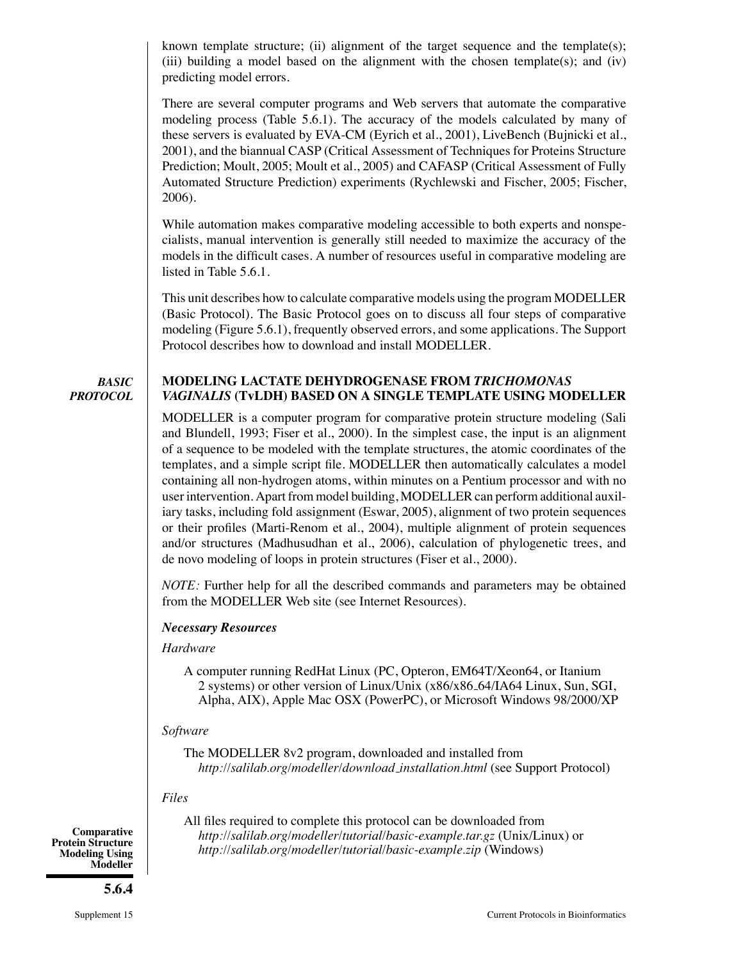known template structure; (ii) alignment of the target sequence and the template(s); (iii) building a model based on the alignment with the chosen template(s); and (iv) predicting model errors.

There are several computer programs and Web servers that automate the comparative modeling process (Table 5.6.1). The accuracy of the models calculated by many of these servers is evaluated by EVA-CM (Eyrich et al., 2001), LiveBench (Bujnicki et al., 2001), and the biannual CASP (Critical Assessment of Techniques for Proteins Structure Prediction; Moult, 2005; Moult et al., 2005) and CAFASP (Critical Assessment of Fully Automated Structure Prediction) experiments (Rychlewski and Fischer, 2005; Fischer, 2006).

While automation makes comparative modeling accessible to both experts and nonspecialists, manual intervention is generally still needed to maximize the accuracy of the models in the difficult cases. A number of resources useful in comparative modeling are listed in Table 5.6.1.

This unit describes how to calculate comparative models using the program MODELLER (Basic Protocol). The Basic Protocol goes on to discuss all four steps of comparative modeling (Figure 5.6.1), frequently observed errors, and some applications. The Support Protocol describes how to download and install MODELLER.

*BASIC PROTOCOL*

## **MODELING LACTATE DEHYDROGENASE FROM** *TRICHOMONAS VAGINALIS* **(TvLDH) BASED ON A SINGLE TEMPLATE USING MODELLER**

MODELLER is a computer program for comparative protein structure modeling (Sali and Blundell, 1993; Fiser et al., 2000). In the simplest case, the input is an alignment of a sequence to be modeled with the template structures, the atomic coordinates of the templates, and a simple script file. MODELLER then automatically calculates a model containing all non-hydrogen atoms, within minutes on a Pentium processor and with no user intervention. Apart from model building, MODELLER can perform additional auxiliary tasks, including fold assignment (Eswar, 2005), alignment of two protein sequences or their profiles (Marti-Renom et al., 2004), multiple alignment of protein sequences and/or structures (Madhusudhan et al., 2006), calculation of phylogenetic trees, and de novo modeling of loops in protein structures (Fiser et al., 2000).

*NOTE:* Further help for all the described commands and parameters may be obtained from the MODELLER Web site (see Internet Resources).

## *Necessary Resources*

#### *Hardware*

A computer running RedHat Linux (PC, Opteron, EM64T/Xeon64, or Itanium 2 systems) or other version of Linux/Unix (x86/x86 64/IA64 Linux, Sun, SGI, Alpha, AIX), Apple Mac OSX (PowerPC), or Microsoft Windows 98/2000/XP

*Software*

The MODELLER 8v2 program, downloaded and installed from *http://salilab.org/modeller/download installation.html* (see Support Protocol)

*http://salilab.org/modeller/tutorial/basic-example.tar.gz* (Unix/Linux) or

All files required to complete this protocol can be downloaded from

*http://salilab.org/modeller/tutorial/basic-example.zip* (Windows)

## *Files*

**Comparative Protein Structure Modeling Using Modeller**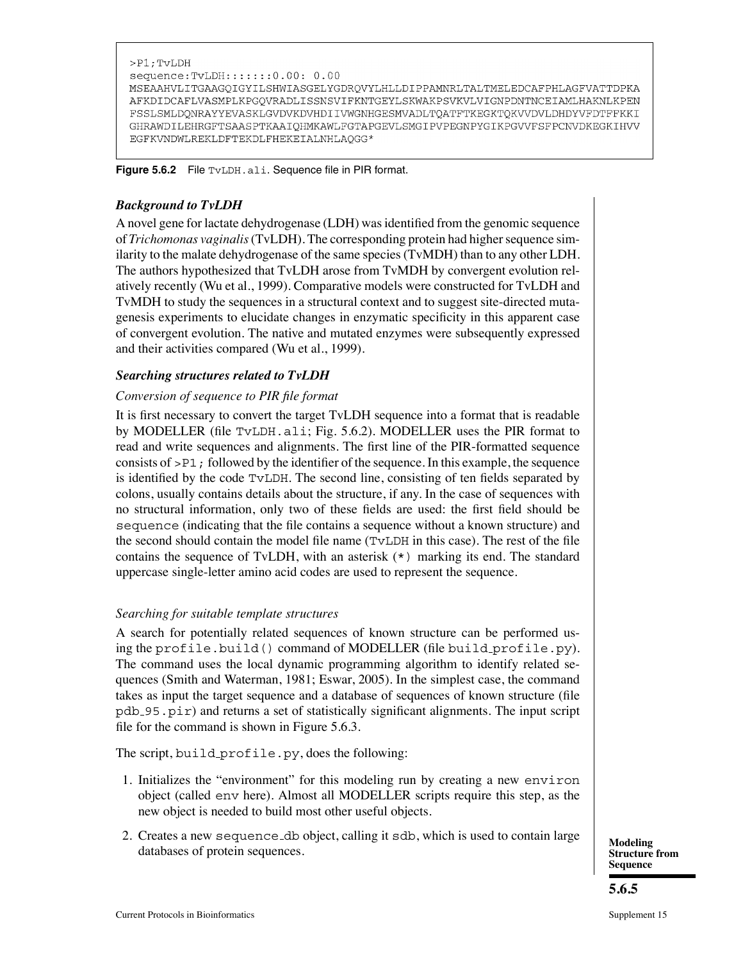```
>P1; TvLDH
sequence: TVLDH::::::0.00: 0.00{\tt MSEAAHVLITGAAGQIGYILSHWIASGELYGDRQVYLHLLDIPPAMNRLTALTMELEDCAFPHLAGFVATTDPKA}AFKDIDCAFLVASMPLKPGQVRADLISSNSVIFKNTGEYLSKWAKPSVKVLVIGNPDNTNCEIAMLHAKNLKPEN
FSSLSMLDQNRAYYEVASKLGVDVKDVHDIIVWGNHGESMVADLTQATFTKEGKTQKVVDVLDHDYVFDTFFKKI
GHRAWDILEHRGFTSAASPTKAAIQHMKAWLFGTAPGEVLSMGIPVPEGNPYGIKPGVVFSFPCNVDKEGKIHVV
EGFKVNDWLREKLDFTEKDLFHEKEIALNHLAQGG*
```
**Figure 5.6.2** File TvLDH.ali. Sequence file in PIR format.

# *Background to TvLDH*

A novel gene for lactate dehydrogenase (LDH) was identified from the genomic sequence of *Trichomonas vaginalis*(TvLDH). The corresponding protein had higher sequence similarity to the malate dehydrogenase of the same species (TvMDH) than to any other LDH. The authors hypothesized that TvLDH arose from TvMDH by convergent evolution relatively recently (Wu et al., 1999). Comparative models were constructed for TvLDH and TvMDH to study the sequences in a structural context and to suggest site-directed mutagenesis experiments to elucidate changes in enzymatic specificity in this apparent case of convergent evolution. The native and mutated enzymes were subsequently expressed and their activities compared (Wu et al., 1999).

# *Searching structures related to TvLDH*

# *Conversion of sequence to PIR file format*

It is first necessary to convert the target TvLDH sequence into a format that is readable by MODELLER (file TvLDH.ali; Fig. 5.6.2). MODELLER uses the PIR format to read and write sequences and alignments. The first line of the PIR-formatted sequence consists of  $>P1$ ; followed by the identifier of the sequence. In this example, the sequence is identified by the code TvLDH. The second line, consisting of ten fields separated by colons, usually contains details about the structure, if any. In the case of sequences with no structural information, only two of these fields are used: the first field should be sequence (indicating that the file contains a sequence without a known structure) and the second should contain the model file name (TvLDH in this case). The rest of the file contains the sequence of TvLDH, with an asterisk  $(*)$  marking its end. The standard uppercase single-letter amino acid codes are used to represent the sequence.

# *Searching for suitable template structures*

A search for potentially related sequences of known structure can be performed using the profile.build() command of MODELLER (file build profile.py). The command uses the local dynamic programming algorithm to identify related sequences (Smith and Waterman, 1981; Eswar, 2005). In the simplest case, the command takes as input the target sequence and a database of sequences of known structure (file pdb 95.pir) and returns a set of statistically significant alignments. The input script file for the command is shown in Figure 5.6.3.

The script, build profile.py, does the following:

- 1. Initializes the "environment" for this modeling run by creating a new environ object (called env here). Almost all MODELLER scripts require this step, as the new object is needed to build most other useful objects.
- 2. Creates a new sequence db object, calling it sdb, which is used to contain large databases of protein sequences.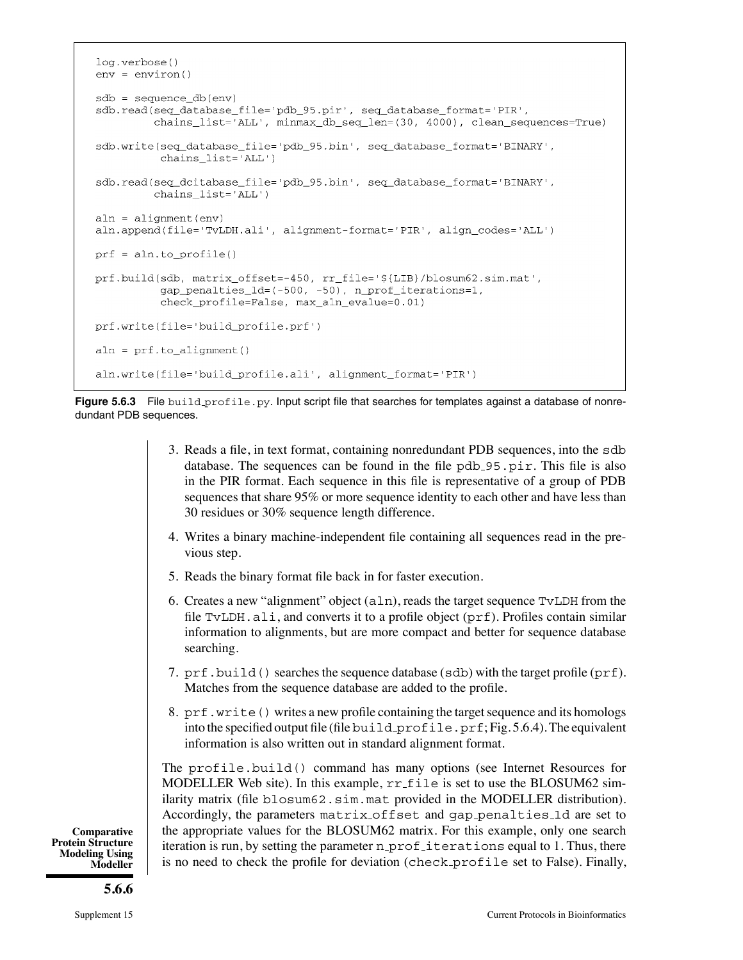```
log.verbose()
env = environ()sdb = sequence_db(env)sdb.read(seq_database_file='pdb_95.pir', seq_database_format='PIR',
         chains_list='ALL', minmax_db_seq_len=(30, 4000), clean_sequences=True)
sdb.write(seq_database_file='pdb_95.bin', seq_database_format='BINARY',
          chains_list='ALL')
sdb.read(seq_dcitabase_file='pdb_95.bin', seq_database_format='BINARY',
         chains_list='ALL')
aln = alignment(env)aln.append(file='TVLDH.ali', alignment-format='PIR', align_codes='ALL')
prf = aln.to_probile()prf.build(sdb, matrix_offset=-450, rr_file='${LIB}/blosum62.sim.mat',
          gap_penalties_ld=(-500, -50), n_prof_iterations=1,
          check_profile=False, max_aln_evalue=0.01)
prf.write(file='build_profile.prf')
aln = prf.to\_alignment()aln.write(file='build_profile.ali', alignment_format='PIR')
```
**Figure 5.6.3** File build profile.py. Input script file that searches for templates against a database of nonredundant PDB sequences.

- 3. Reads a file, in text format, containing nonredundant PDB sequences, into the sdb database. The sequences can be found in the file pdb 95.pir. This file is also in the PIR format. Each sequence in this file is representative of a group of PDB sequences that share 95% or more sequence identity to each other and have less than 30 residues or 30% sequence length difference.
- 4. Writes a binary machine-independent file containing all sequences read in the previous step.
- 5. Reads the binary format file back in for faster execution.
- 6. Creates a new "alignment" object (aln), reads the target sequence TvLDH from the file TvLDH. all, and converts it to a profile object (prf). Profiles contain similar information to alignments, but are more compact and better for sequence database searching.
- 7. prf. build() searches the sequence database (sdb) with the target profile (prf). Matches from the sequence database are added to the profile.
- 8. prf.write() writes a new profile containing the target sequence and its homologs into the specified output file (file build profile.prf; Fig. 5.6.4). The equivalent information is also written out in standard alignment format.

The profile.build() command has many options (see Internet Resources for MODELLER Web site). In this example, rr file is set to use the BLOSUM62 similarity matrix (file blosum62.sim.mat provided in the MODELLER distribution). Accordingly, the parameters matrix offset and gap penalties 1d are set to the appropriate values for the BLOSUM62 matrix. For this example, only one search iteration is run, by setting the parameter  $n$ -prof-iterations equal to 1. Thus, there is no need to check the profile for deviation (check profile set to False). Finally,

**Comparative Protein Structure Modeling Using Modeller**

```
5.6.6
```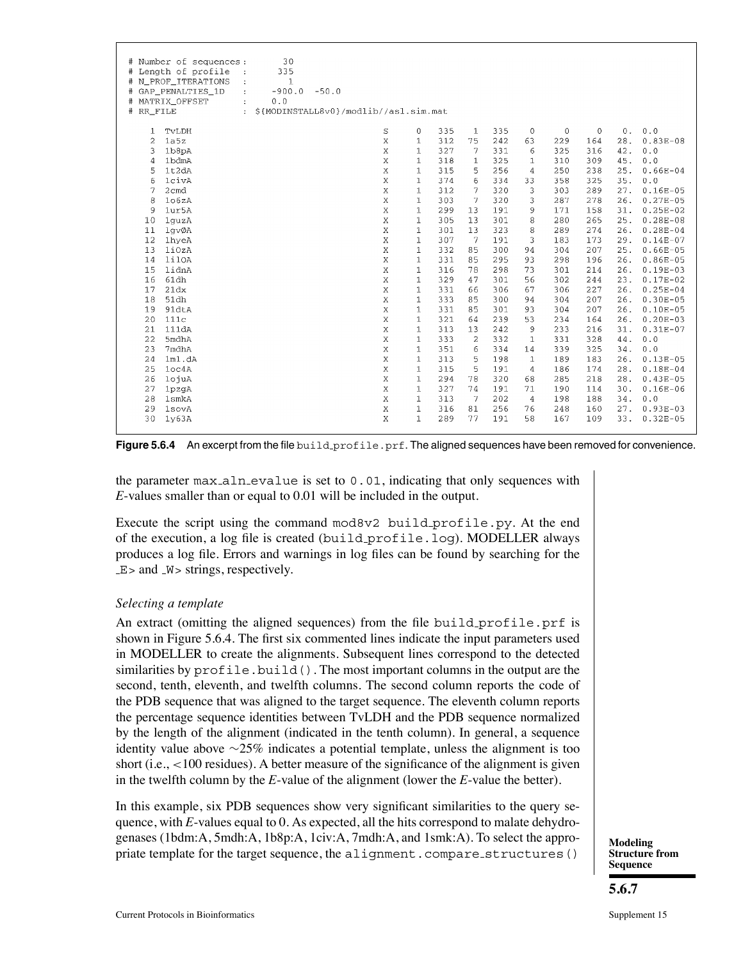| # Number of sequences:<br># Length of profile<br># N_PROF_ITERATIONS<br># GAP_PENALTIES_1D<br># MATRIX OFFSET<br># RR_FILE | $\mathbb{R}^2$<br>$\ddot{\cdot}$<br>$\cdot$<br>$\mathbf{r}$<br>$\ddot{\phantom{a}}$ | 30<br>335<br>$\mathbf{1}$<br>$-900.0$<br>0.0<br>\${MODINSTALL8v0}/modlib//asl.sim.mat | $-50.0$ |              |              |     |                |     |                |     |     |     |              |
|----------------------------------------------------------------------------------------------------------------------------|-------------------------------------------------------------------------------------|---------------------------------------------------------------------------------------|---------|--------------|--------------|-----|----------------|-----|----------------|-----|-----|-----|--------------|
| TVLDH<br>$\mathbf{1}$                                                                                                      |                                                                                     |                                                                                       |         | S            | 0            | 335 | $\mathbf{1}$   | 335 | 0              | 0   | 0   | 0.  | 0.0          |
| $\overline{a}$<br>1a5z                                                                                                     |                                                                                     |                                                                                       |         | $\mathbf{X}$ | $\mathbf{1}$ | 312 | 75             | 242 | 63             | 229 | 164 | 28. | $0.83E-08$   |
| 3<br>1b8pA                                                                                                                 |                                                                                     |                                                                                       |         | $\mathbf{X}$ | $\mathbf{1}$ | 327 | 7              | 331 | 6              | 325 | 316 | 42. | 0.0          |
| 1bdmA<br>4                                                                                                                 |                                                                                     |                                                                                       |         | $\mathbf X$  | $\mathbf{1}$ | 318 | $\mathbf{1}$   | 325 | $\mathbf{1}$   | 310 | 309 | 45. | 0.0          |
| 5<br>1t2dA                                                                                                                 |                                                                                     |                                                                                       |         | $\mathbf{X}$ | $\mathbf{1}$ | 315 | 5              | 256 | 4              | 250 | 238 | 25. | $0.66E-04$   |
| 1civA<br>6                                                                                                                 |                                                                                     |                                                                                       |         | $\mathbf{x}$ | $\mathbf{1}$ | 374 | 6              | 334 | 33             | 358 | 325 | 35. | 0.0          |
| 7<br>$2$ cm $d$                                                                                                            |                                                                                     |                                                                                       |         | $\mathbf{x}$ | $\mathbf{1}$ | 312 | 7              | 320 | 3              | 303 | 289 | 27. | $0.16E-05$   |
| 8<br>106zA                                                                                                                 |                                                                                     |                                                                                       |         | $\mathbf X$  | $\mathbf{1}$ | 303 | 7              | 320 | 3              | 287 | 278 | 26. | $0.27E-05$   |
| 9<br>10x5A                                                                                                                 |                                                                                     |                                                                                       |         | $\mathbf x$  | $\mathbf{1}$ | 299 | 13             | 191 | 9              | 171 | 158 | 31. | $0.25E-02$   |
| 10<br><b>1quzA</b>                                                                                                         |                                                                                     |                                                                                       |         | X            | $\mathbf{1}$ | 305 | 13             | 301 | 8              | 280 | 265 | 25. | $0.28E-08$   |
| 11<br>lgvØA                                                                                                                |                                                                                     |                                                                                       |         | X            | $\mathbf{1}$ | 301 | 13             | 323 | 8              | 289 | 274 | 26. | $0.28E - 04$ |
| 12<br>1hyeA                                                                                                                |                                                                                     |                                                                                       |         | X            | $\mathbf{1}$ | 307 | 7              | 191 | 3              | 183 | 173 | 29. | $0.14E-07$   |
| 13<br>liOzA                                                                                                                |                                                                                     |                                                                                       |         | X            | $\mathbf{1}$ | 332 | 85             | 300 | 94             | 304 | 207 | 25. | $0.66E-05$   |
| 1i10A<br>14                                                                                                                |                                                                                     |                                                                                       |         | $\mathbf{X}$ | $\mathbf{1}$ | 331 | 85             | 295 | 93             | 298 | 196 | 26. | $0.86E - 05$ |
| 15<br>lidnA                                                                                                                |                                                                                     |                                                                                       |         | $\mathbf X$  | $\mathbf{1}$ | 316 | 78             | 298 | 73             | 301 | 214 | 26. | $0.19E-03$   |
| 16<br>61dh                                                                                                                 |                                                                                     |                                                                                       |         | $\mathbf X$  | $\mathbf{1}$ | 329 | 47             | 301 | 56             | 302 | 244 | 23. | $0.17E-02$   |
| 17<br>21dx                                                                                                                 |                                                                                     |                                                                                       |         | X            | $\mathbf{1}$ | 331 | 66             | 306 | 67             | 306 | 227 | 26. | $0.25E - 04$ |
| 18<br>51dh                                                                                                                 |                                                                                     |                                                                                       |         | X            | $\mathbf{1}$ | 333 | 85             | 300 | 94             | 304 | 207 | 26. | $0.30E - 05$ |
| 91dtA<br>19                                                                                                                |                                                                                     |                                                                                       |         | X            | $\mathbf{1}$ | 331 | 85             | 301 | 93             | 304 | 207 | 26. | $0.10E-05$   |
| 20<br>111c                                                                                                                 |                                                                                     |                                                                                       |         | $\mathbf X$  | $\mathbf{1}$ | 321 | 64             | 239 | 53             | 234 | 164 | 26. | $0.20E-03$   |
| 21<br>111dA                                                                                                                |                                                                                     |                                                                                       |         | $\mathbf X$  | $\mathbf{1}$ | 313 | 13             | 242 | 9              | 233 | 216 | 31. | $0.31E-07$   |
| 22<br>5mdhA                                                                                                                |                                                                                     |                                                                                       |         | $\mathbf{X}$ | $\mathbf{1}$ | 333 | $\overline{c}$ | 332 | 1              | 331 | 328 | 44. | 0.0          |
| 23<br>7mdhA                                                                                                                |                                                                                     |                                                                                       |         | $\mathbf{X}$ | $\mathbf{1}$ | 351 | 6              | 334 | 14             | 339 | 325 | 34. | 0.0          |
| 24<br>lml.dA                                                                                                               |                                                                                     |                                                                                       |         | $\mathbf{x}$ | $\mathbf{1}$ | 313 | 5              | 198 | $\mathbf{1}$   | 189 | 183 | 26. | $0.13E-05$   |
| 25<br>10c4A                                                                                                                |                                                                                     |                                                                                       |         | $\mathbf{X}$ | $\mathbf{1}$ | 315 | 5              | 191 | $\overline{4}$ | 186 | 174 | 28. | $0.18E - 04$ |
| 26<br>10juA                                                                                                                |                                                                                     |                                                                                       |         | $\mathbf X$  | $\mathbf{1}$ | 294 | 78             | 320 | 68             | 285 | 218 | 28. | $0.43E-05$   |
| 27<br>1pzgA                                                                                                                |                                                                                     |                                                                                       |         | $\mathbf X$  | 1            | 327 | 74             | 191 | 71             | 190 | 114 | 30. | $0.16E - 06$ |
| 28<br>$1$ sm $kA$                                                                                                          |                                                                                     |                                                                                       |         | $\mathbf{X}$ | $\mathbf{1}$ | 313 | 7              | 202 | $\overline{4}$ | 198 | 188 | 34. | 0.0          |
| 29<br>1sovA                                                                                                                |                                                                                     |                                                                                       |         | X            | $\mathbf{1}$ | 316 | 81             | 256 | 76             | 248 | 160 | 27. | $0.93E-03$   |
| 30<br>1y63A                                                                                                                |                                                                                     |                                                                                       |         | X            | $\mathbf{1}$ | 289 | 77             | 191 | 58             | 167 | 109 | 33. | $0.32E - 05$ |
|                                                                                                                            |                                                                                     |                                                                                       |         |              |              |     |                |     |                |     |     |     |              |

Figure 5.6.4 An excerpt from the file build profile.prf. The aligned sequences have been removed for convenience.

the parameter max aln evalue is set to 0.01, indicating that only sequences with *E*-values smaller than or equal to 0.01 will be included in the output.

Execute the script using the command mod8v2 build profile.py. At the end of the execution, a log file is created (build profile.log). MODELLER always produces a log file. Errors and warnings in log files can be found by searching for the  $-E$  and  $-W$  strings, respectively.

# *Selecting a template*

An extract (omitting the aligned sequences) from the file build profile.prf is shown in Figure 5.6.4. The first six commented lines indicate the input parameters used in MODELLER to create the alignments. Subsequent lines correspond to the detected similarities by  $\text{profile}$ . build(). The most important columns in the output are the second, tenth, eleventh, and twelfth columns. The second column reports the code of the PDB sequence that was aligned to the target sequence. The eleventh column reports the percentage sequence identities between TvLDH and the PDB sequence normalized by the length of the alignment (indicated in the tenth column). In general, a sequence identity value above ∼25% indicates a potential template, unless the alignment is too short (i.e., <100 residues). A better measure of the significance of the alignment is given in the twelfth column by the *E*-value of the alignment (lower the *E*-value the better).

In this example, six PDB sequences show very significant similarities to the query sequence, with *E*-values equal to 0. As expected, all the hits correspond to malate dehydrogenases (1bdm:A, 5mdh:A, 1b8p:A, 1civ:A, 7mdh:A, and 1smk:A). To select the appropriate template for the target sequence, the alignment.compare structures()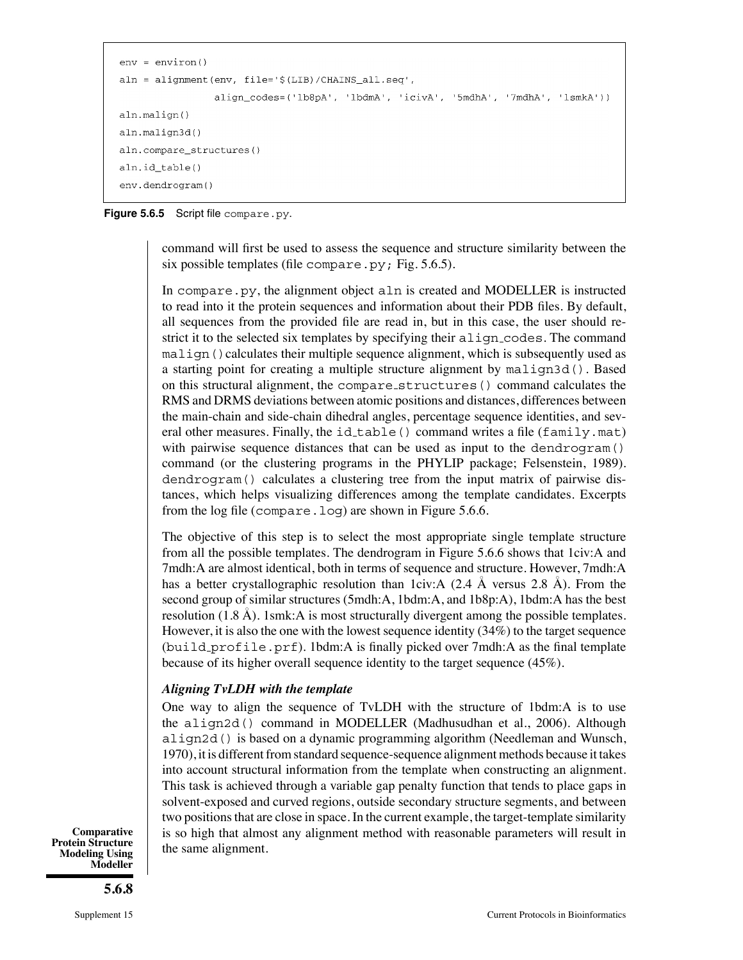```
env = environ()aln = alignment (env, file='$(LIB)/CHAINS_all.seq',
                align\_codes=('1b8pA', '1bdmA', 'iciva', '5mdhA', '7mdhA', 'lsmkA'))aln.malign()
aln.malign3d()
aln.compare_structures()
aln.id table()
env.dendrogram()
```
**Figure 5.6.5** Script file compare.py.

command will first be used to assess the sequence and structure similarity between the six possible templates (file compare.py; Fig.  $5.6.5$ ).

In compare.py, the alignment object aln is created and MODELLER is instructed to read into it the protein sequences and information about their PDB files. By default, all sequences from the provided file are read in, but in this case, the user should restrict it to the selected six templates by specifying their align codes. The command malign () calculates their multiple sequence alignment, which is subsequently used as a starting point for creating a multiple structure alignment by malign3d(). Based on this structural alignment, the compare structures() command calculates the RMS and DRMS deviations between atomic positions and distances, differences between the main-chain and side-chain dihedral angles, percentage sequence identities, and several other measures. Finally, the id\_table() command writes a file (family.mat) with pairwise sequence distances that can be used as input to the dendrogram() command (or the clustering programs in the PHYLIP package; Felsenstein, 1989). dendrogram() calculates a clustering tree from the input matrix of pairwise distances, which helps visualizing differences among the template candidates. Excerpts from the log file (compare.log) are shown in Figure 5.6.6.

The objective of this step is to select the most appropriate single template structure from all the possible templates. The dendrogram in Figure 5.6.6 shows that 1civ:A and 7mdh:A are almost identical, both in terms of sequence and structure. However, 7mdh:A has a better crystallographic resolution than 1civ:A (2.4 Å versus 2.8 Å). From the second group of similar structures (5mdh:A, 1bdm:A, and 1b8p:A), 1bdm:A has the best resolution (1.8 Å). 1smk:A is most structurally divergent among the possible templates. However, it is also the one with the lowest sequence identity (34%) to the target sequence (build profile.prf). 1bdm:A is finally picked over 7mdh:A as the final template because of its higher overall sequence identity to the target sequence (45%).

# *Aligning TvLDH with the template*

One way to align the sequence of TvLDH with the structure of 1bdm:A is to use the align2d() command in MODELLER (Madhusudhan et al., 2006). Although align2d() is based on a dynamic programming algorithm (Needleman and Wunsch, 1970), it is different from standard sequence-sequence alignment methods because it takes into account structural information from the template when constructing an alignment. This task is achieved through a variable gap penalty function that tends to place gaps in solvent-exposed and curved regions, outside secondary structure segments, and between two positions that are close in space. In the current example, the target-template similarity is so high that almost any alignment method with reasonable parameters will result in the same alignment.

**Comparative Protein Structure Modeling Using Modeller**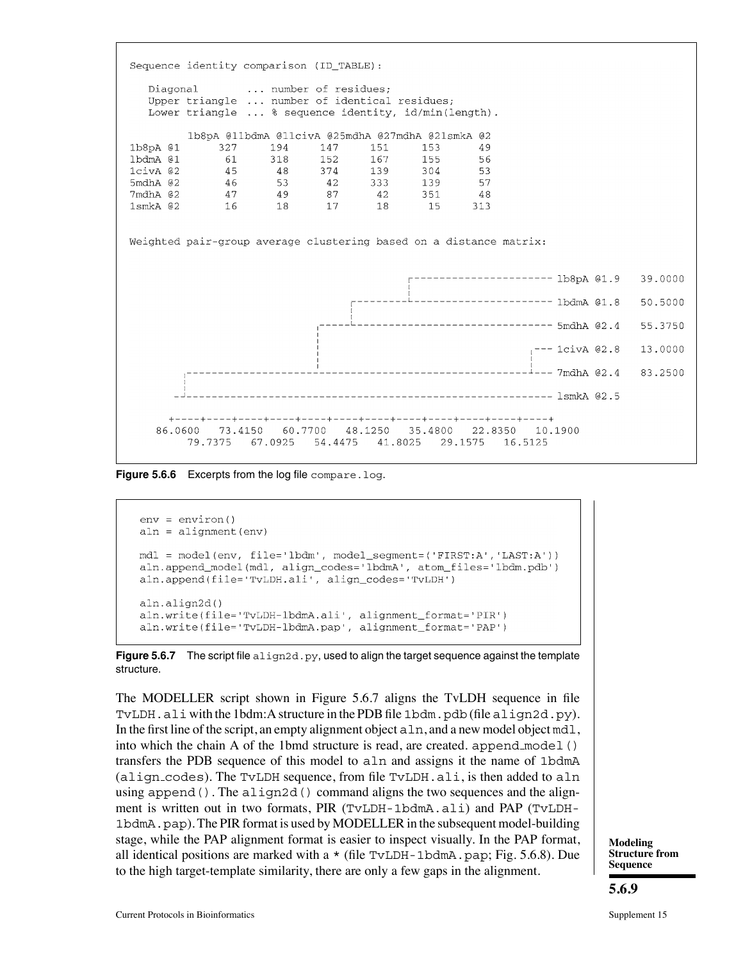

Figure 5.6.6 Excerpts from the log file compare.log.

```
env = environ()aln = alignment (env)mdl = model(env, file='lbdm', model_segment=('FIRST:A','LAST:A'))
aln.append_model(mdl, align_codes='lbdmA', atom_files='lbdm.pdb')
aln.append(file='TvLDH.ali', align_codes='TvLDH')
aln.align2d()aln.write(file='TvLDH-lbdmA.ali', alignment_format='PIR')
aln.write(file='TvLDH-lbdmA.pap', alignment_format='PAP')
```
**Figure 5.6.7** The script file align2d.py, used to align the target sequence against the template structure.

The MODELLER script shown in Figure 5.6.7 aligns the TvLDH sequence in file TvLDH.ali with the 1bdm:A structure in the PDB file 1bdm.pdb (file align2d.py). In the first line of the script, an empty alignment object  $a \ln a$ , and a new model object  $m d$ , into which the chain A of the 1bmd structure is read, are created. append model () transfers the PDB sequence of this model to aln and assigns it the name of 1bdmA (align codes). The TvLDH sequence, from file TvLDH.ali, is then added to aln using append(). The align2d() command aligns the two sequences and the alignment is written out in two formats, PIR (TvLDH-1bdmA.ali) and PAP (TvLDH-1bdmA.pap). The PIR format is used by MODELLER in the subsequent model-building stage, while the PAP alignment format is easier to inspect visually. In the PAP format, all identical positions are marked with a  $*$  (file TvLDH-1bdmA.pap; Fig. 5.6.8). Due to the high target-template similarity, there are only a few gaps in the alignment.

**Modeling Structure from Sequence**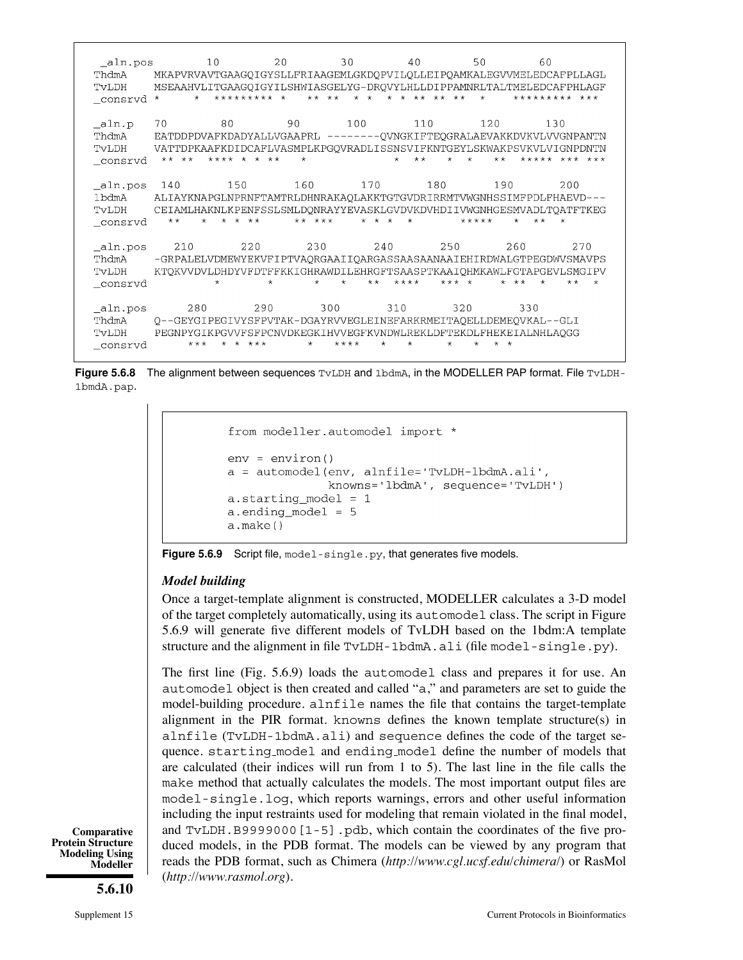$10<sup>1</sup>$  $2.0$ 30 40  $50$ 60 \_aln.pos ThdmA MKAPVRVAVTGAAGQIGYSLLFRIAAGEMLGKDQPVILQLLEIPQAMKALEGVVMELEDCAFPLLAGL **TVLDH** MSEAAHVLITGAAGQIGYILSHWIASGELYG-DRQVYLHLLDIPPAMNRLTALTMELEDCAFPHLAGF \_consrvd \*  $\star$ \*\*\*\*\*\*\*\*\* \* \*\* \*\* \* \* \* \* \*\* \*\* \*\* \* \*\*\*\*\*\*\*\*\* \*\*\*  $\lbrack \text{aln.p} \quad 70 \quad 80$ 100 110  $90 -$ 120  $130$ ThdmA EATDDPDVAFKDADYALLVGAAPRL --------QVNGKIFTEQGRALAEVAKKDVKVLVVGNPANTN VATTDPKAAFKDIDCAFLVASMPLKPGQVRADLISSNSVIFKNTGEYLSKWAKPSVKVLVIGNPDNTN TVLDH aln.pos 140 150 160 170 180 190 200  ${\small \tt IddmA} \begin{tabular}{ll} \multicolumn{2}{l}{{\small \tt DdmA}}\\ \multicolumn{2}{l}{{\small \tt TLAYKNAPGLNPRNFTAMTRLDHNRAKAQLAKKTGTGVDRIRRMTWGNHSSIMFPDLFHAEVD--}\\ {\small \tt TvLDH} \end{tabular} \label{tab:1}$  $210$ 220 230 240 250 260 270 aln.pos ThdmA -GRPALELVDMEWYEKVFIPTVAQRGAAIIQARGASSAASAANAAIEHIRDWALGTPEGDWVSMAVPS TVLDH KTQKVVDVLDHDYVFDTFFKKIGHRAWDILEHRGFTSAASPTKAAIQHMKAWLFGTAPGEVLSMGIPV \* \* \*\* \*\*\*\* \*\*\* \* \* \*\* \* \*\*  $\star$  $\star$   $\sim$ \_consrvd \_aln.pos 280 290 300 310 320 330 ThdmA Q--GEYGIPEGIVYSFPVTAK-DGAYRVVEGLEINEFARKRMEITAQELLDEMEQVKAL--GLI TVLDH PEGNPYGIKPGVVFSFPCNVDKEGKIHVVEGFKVNDWLREKLDFTEKDLFHEKEIALNHLAQGG  $_{\text{consrvd}}$  \*\*\* \* \* \*\*\* \* \* \*\*\* \* \*  $\star\qquad \star\quad \star\quad \star\quad \star$ 

**Figure 5.6.8** The alignment between sequences TvLDH and 1bdmA, in the MODELLER PAP format. File TvLDH-1bmdA.pap.

```
from modeller.automodel import *
env = environment()a = automodel(env, alnfile='TvLDH-lbdmA.ali',
              knowns='lbdmA', sequence='TvLDH')
a. starting_model = 1a. ending_model = 5a.mac()
```
**Figure 5.6.9** Script file, model-single.py, that generates five models.

## *Model building*

Once a target-template alignment is constructed, MODELLER calculates a 3-D model of the target completely automatically, using its automodel class. The script in Figure 5.6.9 will generate five different models of TvLDH based on the 1bdm:A template structure and the alignment in file TvLDH-1bdmA.ali (file model-single.py).

The first line (Fig. 5.6.9) loads the automodel class and prepares it for use. An automodel object is then created and called "a," and parameters are set to guide the model-building procedure. alnfile names the file that contains the target-template alignment in the PIR format. knowns defines the known template structure(s) in alnfile (TvLDH-1bdmA.ali) and sequence defines the code of the target sequence. starting model and ending model define the number of models that are calculated (their indices will run from 1 to 5). The last line in the file calls the make method that actually calculates the models. The most important output files are model-single.log, which reports warnings, errors and other useful information including the input restraints used for modeling that remain violated in the final model, and  $TvLDH$ . B9999000 [1-5]. pdb, which contain the coordinates of the five produced models, in the PDB format. The models can be viewed by any program that reads the PDB format, such as Chimera (*http://www.cgl.ucsf.edu/chimera/*) or RasMol (*http://www.rasmol.org*).

**Comparative Protein Structure Modeling Using Modeller**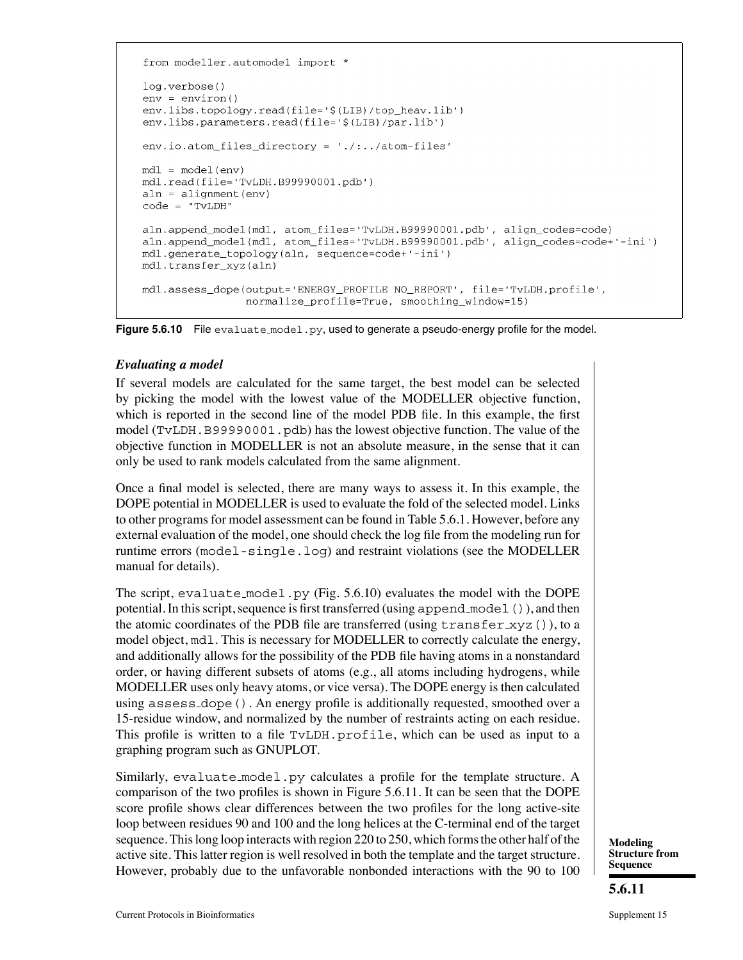```
from modeller.automodel import *
log.verbose()
env = environ()env.libs.topology.read(file='$(LIB)/top_heav.lib')
env.libs.parameters.read(file='$(LIB)/par.lib')
env.io.atom_files_dictvery = './.:. /atom-files'mdl = model (env)mdl.read(file='TvLDH.B99990001.pdb')
aln = alignment (env)code = "TvLDH"aln.append_model(mdl, atom_files='TvLDH.B99990001.pdb', align_codes=code)
aln.append_model(mdl, atom_files='TvLDH.B99990001.pdb', align_codes=code+'-ini')
mdl.generate_topology(aln, sequence=code+'-ini')
mdl.transfer_xyz(aln)
mdl.assess_dope(output='ENERGY_PROFILE NO_REPORT', file='TVLDH.profile',
                normalize_profile=True, smoothing_window=15)
```
**Figure 5.6.10** File evaluate\_model.py, used to generate a pseudo-energy profile for the model.

# *Evaluating a model*

If several models are calculated for the same target, the best model can be selected by picking the model with the lowest value of the MODELLER objective function, which is reported in the second line of the model PDB file. In this example, the first model (TvLDH.B99990001.pdb) has the lowest objective function. The value of the objective function in MODELLER is not an absolute measure, in the sense that it can only be used to rank models calculated from the same alignment.

Once a final model is selected, there are many ways to assess it. In this example, the DOPE potential in MODELLER is used to evaluate the fold of the selected model. Links to other programs for model assessment can be found in Table 5.6.1. However, before any external evaluation of the model, one should check the log file from the modeling run for runtime errors (model-single.log) and restraint violations (see the MODELLER manual for details).

The script, evaluate model.py (Fig. 5.6.10) evaluates the model with the DOPE potential. In this script, sequence is first transferred (using append model()), and then the atomic coordinates of the PDB file are transferred (using  $transfer\_xyz()$ ), to a model object, mdl. This is necessary for MODELLER to correctly calculate the energy, and additionally allows for the possibility of the PDB file having atoms in a nonstandard order, or having different subsets of atoms (e.g., all atoms including hydrogens, while MODELLER uses only heavy atoms, or vice versa). The DOPE energy is then calculated using assess dope(). An energy profile is additionally requested, smoothed over a 15-residue window, and normalized by the number of restraints acting on each residue. This profile is written to a file  $TvLDH$ . profile, which can be used as input to a graphing program such as GNUPLOT.

Similarly, evaluate model.py calculates a profile for the template structure. A comparison of the two profiles is shown in Figure 5.6.11. It can be seen that the DOPE score profile shows clear differences between the two profiles for the long active-site loop between residues 90 and 100 and the long helices at the C-terminal end of the target sequence. This long loop interacts with region 220 to 250, which forms the other half of the active site. This latter region is well resolved in both the template and the target structure. However, probably due to the unfavorable nonbonded interactions with the 90 to 100

**Modeling Structure from Sequence**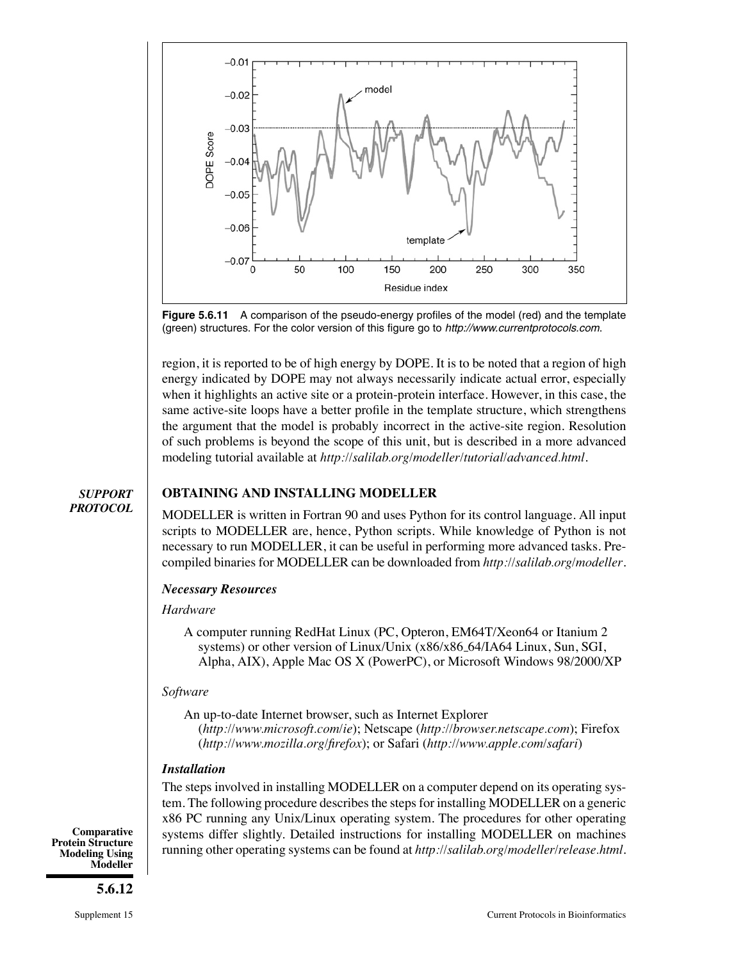

**Figure 5.6.11** A comparison of the pseudo-energy profiles of the model (red) and the template (green) structures. For the color version of this figure go to http://www.currentprotocols.com.

region, it is reported to be of high energy by DOPE. It is to be noted that a region of high energy indicated by DOPE may not always necessarily indicate actual error, especially when it highlights an active site or a protein-protein interface. However, in this case, the same active-site loops have a better profile in the template structure, which strengthens the argument that the model is probably incorrect in the active-site region. Resolution of such problems is beyond the scope of this unit, but is described in a more advanced modeling tutorial available at *http://salilab.org/modeller/tutorial/advanced.html*.

## *SUPPORT PROTOCOL*

# **OBTAINING AND INSTALLING MODELLER**

MODELLER is written in Fortran 90 and uses Python for its control language. All input scripts to MODELLER are, hence, Python scripts. While knowledge of Python is not necessary to run MODELLER, it can be useful in performing more advanced tasks. Precompiled binaries for MODELLER can be downloaded from *http://salilab.org/modeller*.

## *Necessary Resources*

#### *Hardware*

A computer running RedHat Linux (PC, Opteron, EM64T/Xeon64 or Itanium 2 systems) or other version of Linux/Unix (x86/x86 64/IA64 Linux, Sun, SGI, Alpha, AIX), Apple Mac OS X (PowerPC), or Microsoft Windows 98/2000/XP

## *Software*

An up-to-date Internet browser, such as Internet Explorer (*http://www.microsoft.com/ie*); Netscape (*http://browser.netscape.com*); Firefox (*http://www.mozilla.org/firefox*); or Safari (*http://www.apple.com/safari*)

## *Installation*

The steps involved in installing MODELLER on a computer depend on its operating system. The following procedure describes the steps for installing MODELLER on a generic x86 PC running any Unix/Linux operating system. The procedures for other operating systems differ slightly. Detailed instructions for installing MODELLER on machines running other operating systems can be found at *http://salilab.org/modeller/release.html*.

**Comparative Protein Structure Modeling Using Modeller**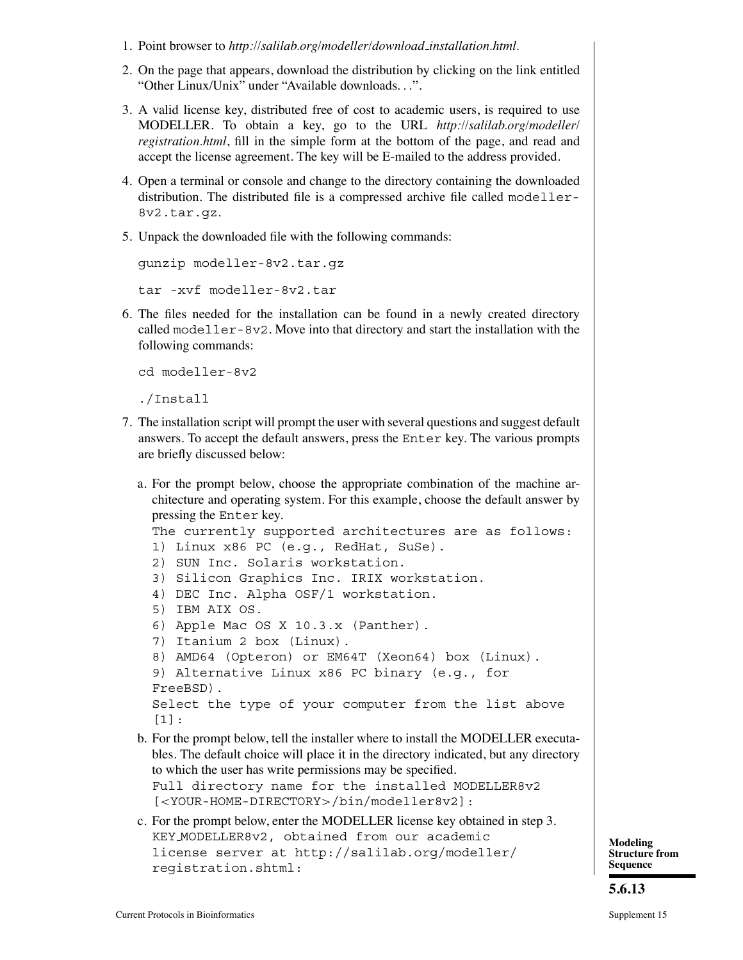- 1. Point browser to *http://salilab.org/modeller/download installation.html.*
- 2. On the page that appears, download the distribution by clicking on the link entitled "Other Linux/Unix" under "Available downloads...".
- 3. A valid license key, distributed free of cost to academic users, is required to use MODELLER. To obtain a key, go to the URL *http://salilab.org/modeller/ registration.html*, fill in the simple form at the bottom of the page, and read and accept the license agreement. The key will be E-mailed to the address provided.
- 4. Open a terminal or console and change to the directory containing the downloaded distribution. The distributed file is a compressed archive file called modeller-8v2.tar.gz.
- 5. Unpack the downloaded file with the following commands:

```
gunzip modeller-8v2.tar.gz
tar -xvf modeller-8v2.tar
```
6. The files needed for the installation can be found in a newly created directory called modeller-8v2. Move into that directory and start the installation with the following commands:

```
cd modeller-8v2
```
./Install

- 7. The installation script will prompt the user with several questions and suggest default answers. To accept the default answers, press the Enter key. The various prompts are briefly discussed below:
	- a. For the prompt below, choose the appropriate combination of the machine architecture and operating system. For this example, choose the default answer by pressing the Enter key.

```
The currently supported architectures are as follows:
```
- 1) Linux x86 PC (e.g., RedHat, SuSe).
- 2) SUN Inc. Solaris workstation.
- 3) Silicon Graphics Inc. IRIX workstation.
- 4) DEC Inc. Alpha OSF/1 workstation.
- 5) IBM AIX OS.
- 6) Apple Mac OS X 10.3.x (Panther).
- 7) Itanium 2 box (Linux).

```
8) AMD64 (Opteron) or EM64T (Xeon64) box (Linux).
```

```
9) Alternative Linux x86 PC binary (e.g., for
```

```
FreeBSD).
```

```
Select the type of your computer from the list above
[1]:
```
- b. For the prompt below, tell the installer where to install the MODELLER executables. The default choice will place it in the directory indicated, but any directory to which the user has write permissions may be specified. Full directory name for the installed MODELLER8v2 [<YOUR-HOME-DIRECTORY>/bin/modeller8v2]:
- c. For the prompt below, enter the MODELLER license key obtained in step 3. KEY MODELLER8v2, obtained from our academic license server at http://salilab.org/modeller/ registration.shtml: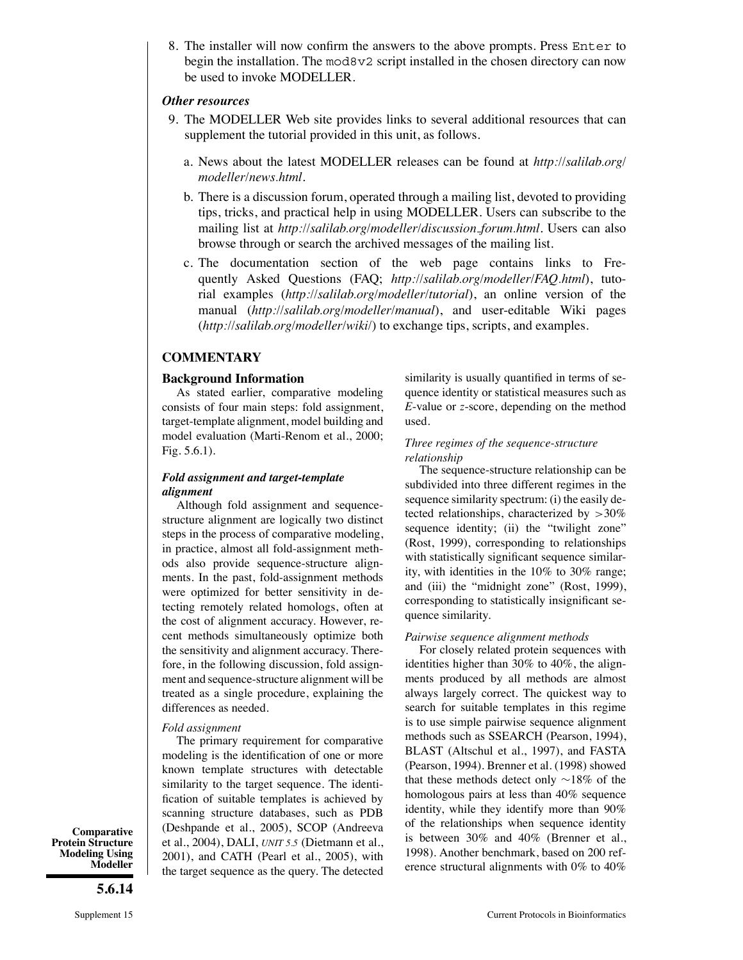8. The installer will now confirm the answers to the above prompts. Press Enter to begin the installation. The mod8v2 script installed in the chosen directory can now be used to invoke MODELLER.

## *Other resources*

- 9. The MODELLER Web site provides links to several additional resources that can supplement the tutorial provided in this unit, as follows.
	- a. News about the latest MODELLER releases can be found at *http://salilab.org/ modeller/news.html*.
	- b. There is a discussion forum, operated through a mailing list, devoted to providing tips, tricks, and practical help in using MODELLER. Users can subscribe to the mailing list at *http://salilab.org/modeller/discussion forum.html*. Users can also browse through or search the archived messages of the mailing list.
	- c. The documentation section of the web page contains links to Frequently Asked Questions (FAQ; *http://salilab.org/modeller/FAQ.html*), tutorial examples (*http://salilab.org/modeller/tutorial*), an online version of the manual (*http://salilab.org/modeller/manual*), and user-editable Wiki pages (*http://salilab.org/modeller/wiki/*) to exchange tips, scripts, and examples.

# **COMMENTARY**

#### **Background Information**

As stated earlier, comparative modeling consists of four main steps: fold assignment, target-template alignment, model building and model evaluation (Marti-Renom et al., 2000; Fig. 5.6.1).

## *Fold assignment and target-template alignment*

Although fold assignment and sequencestructure alignment are logically two distinct steps in the process of comparative modeling, in practice, almost all fold-assignment methods also provide sequence-structure alignments. In the past, fold-assignment methods were optimized for better sensitivity in detecting remotely related homologs, often at the cost of alignment accuracy. However, recent methods simultaneously optimize both the sensitivity and alignment accuracy. Therefore, in the following discussion, fold assignment and sequence-structure alignment will be treated as a single procedure, explaining the differences as needed.

#### *Fold assignment*

The primary requirement for comparative modeling is the identification of one or more known template structures with detectable similarity to the target sequence. The identification of suitable templates is achieved by scanning structure databases, such as PDB (Deshpande et al., 2005), SCOP (Andreeva et al., 2004), DALI, *UNIT 5.5* (Dietmann et al., 2001), and CATH (Pearl et al., 2005), with the target sequence as the query. The detected similarity is usually quantified in terms of sequence identity or statistical measures such as *E*-value or *z*-score, depending on the method used.

#### *Three regimes of the sequence-structure relationship*

The sequence-structure relationship can be subdivided into three different regimes in the sequence similarity spectrum: (i) the easily detected relationships, characterized by  $>30\%$ sequence identity; (ii) the "twilight zone" (Rost, 1999), corresponding to relationships with statistically significant sequence similarity, with identities in the 10% to 30% range; and (iii) the "midnight zone" (Rost, 1999), corresponding to statistically insignificant sequence similarity.

#### *Pairwise sequence alignment methods*

For closely related protein sequences with identities higher than 30% to 40%, the alignments produced by all methods are almost always largely correct. The quickest way to search for suitable templates in this regime is to use simple pairwise sequence alignment methods such as SSEARCH (Pearson, 1994), BLAST (Altschul et al., 1997), and FASTA (Pearson, 1994). Brenner et al. (1998) showed that these methods detect only ∼18% of the homologous pairs at less than 40% sequence identity, while they identify more than 90% of the relationships when sequence identity is between 30% and 40% (Brenner et al., 1998). Another benchmark, based on 200 reference structural alignments with 0% to 40%

**Comparative Protein Structure Modeling Using Modeller**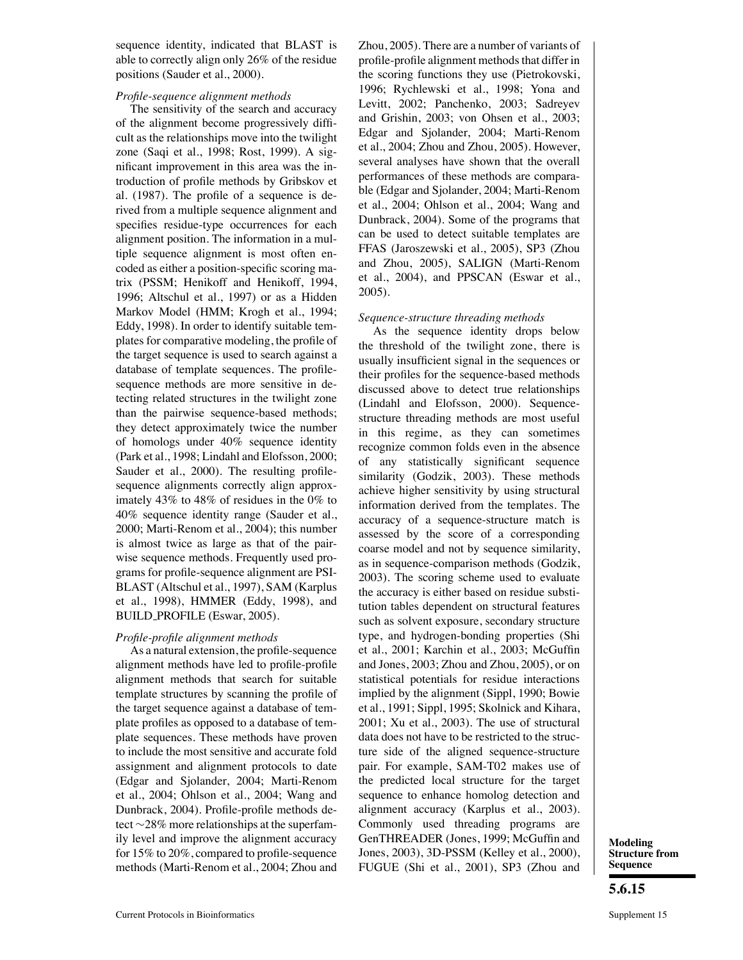sequence identity, indicated that BLAST is able to correctly align only 26% of the residue positions (Sauder et al., 2000).

## *Profile-sequence alignment methods*

The sensitivity of the search and accuracy of the alignment become progressively difficult as the relationships move into the twilight zone (Saqi et al., 1998; Rost, 1999). A significant improvement in this area was the introduction of profile methods by Gribskov et al. (1987). The profile of a sequence is derived from a multiple sequence alignment and specifies residue-type occurrences for each alignment position. The information in a multiple sequence alignment is most often encoded as either a position-specific scoring matrix (PSSM; Henikoff and Henikoff, 1994, 1996; Altschul et al., 1997) or as a Hidden Markov Model (HMM; Krogh et al., 1994; Eddy, 1998). In order to identify suitable templates for comparative modeling, the profile of the target sequence is used to search against a database of template sequences. The profilesequence methods are more sensitive in detecting related structures in the twilight zone than the pairwise sequence-based methods; they detect approximately twice the number of homologs under 40% sequence identity (Park et al., 1998; Lindahl and Elofsson, 2000; Sauder et al., 2000). The resulting profilesequence alignments correctly align approximately 43% to 48% of residues in the 0% to 40% sequence identity range (Sauder et al., 2000; Marti-Renom et al., 2004); this number is almost twice as large as that of the pairwise sequence methods. Frequently used programs for profile-sequence alignment are PSI-BLAST (Altschul et al., 1997), SAM (Karplus et al., 1998), HMMER (Eddy, 1998), and BUILD PROFILE (Eswar, 2005).

## *Profile-profile alignment methods*

As a natural extension, the profile-sequence alignment methods have led to profile-profile alignment methods that search for suitable template structures by scanning the profile of the target sequence against a database of template profiles as opposed to a database of template sequences. These methods have proven to include the most sensitive and accurate fold assignment and alignment protocols to date (Edgar and Sjolander, 2004; Marti-Renom et al., 2004; Ohlson et al., 2004; Wang and Dunbrack, 2004). Profile-profile methods detect ∼28% more relationships at the superfamily level and improve the alignment accuracy for 15% to 20%, compared to profile-sequence methods (Marti-Renom et al., 2004; Zhou and

Zhou, 2005). There are a number of variants of profile-profile alignment methods that differ in the scoring functions they use (Pietrokovski, 1996; Rychlewski et al., 1998; Yona and Levitt, 2002; Panchenko, 2003; Sadreyev and Grishin, 2003; von Ohsen et al., 2003; Edgar and Sjolander, 2004; Marti-Renom et al., 2004; Zhou and Zhou, 2005). However, several analyses have shown that the overall performances of these methods are comparable (Edgar and Sjolander, 2004; Marti-Renom et al., 2004; Ohlson et al., 2004; Wang and Dunbrack, 2004). Some of the programs that can be used to detect suitable templates are FFAS (Jaroszewski et al., 2005), SP3 (Zhou and Zhou, 2005), SALIGN (Marti-Renom et al., 2004), and PPSCAN (Eswar et al., 2005).

#### *Sequence-structure threading methods*

As the sequence identity drops below the threshold of the twilight zone, there is usually insufficient signal in the sequences or their profiles for the sequence-based methods discussed above to detect true relationships (Lindahl and Elofsson, 2000). Sequencestructure threading methods are most useful in this regime, as they can sometimes recognize common folds even in the absence of any statistically significant sequence similarity (Godzik, 2003). These methods achieve higher sensitivity by using structural information derived from the templates. The accuracy of a sequence-structure match is assessed by the score of a corresponding coarse model and not by sequence similarity, as in sequence-comparison methods (Godzik, 2003). The scoring scheme used to evaluate the accuracy is either based on residue substitution tables dependent on structural features such as solvent exposure, secondary structure type, and hydrogen-bonding properties (Shi et al., 2001; Karchin et al., 2003; McGuffin and Jones, 2003; Zhou and Zhou, 2005), or on statistical potentials for residue interactions implied by the alignment (Sippl, 1990; Bowie et al., 1991; Sippl, 1995; Skolnick and Kihara, 2001; Xu et al., 2003). The use of structural data does not have to be restricted to the structure side of the aligned sequence-structure pair. For example, SAM-T02 makes use of the predicted local structure for the target sequence to enhance homolog detection and alignment accuracy (Karplus et al., 2003). Commonly used threading programs are GenTHREADER (Jones, 1999; McGuffin and Jones, 2003), 3D-PSSM (Kelley et al., 2000), FUGUE (Shi et al., 2001), SP3 (Zhou and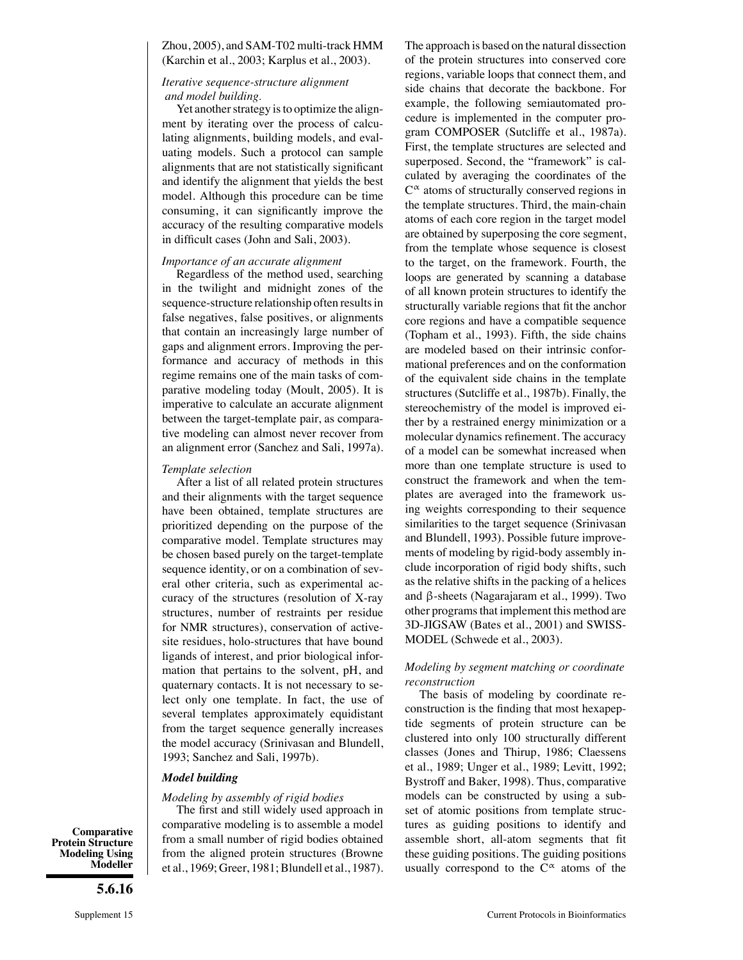Zhou, 2005), and SAM-T02 multi-track HMM (Karchin et al., 2003; Karplus et al., 2003).

#### *Iterative sequence-structure alignment and model building.*

Yet another strategy is to optimize the alignment by iterating over the process of calculating alignments, building models, and evaluating models. Such a protocol can sample alignments that are not statistically significant and identify the alignment that yields the best model. Although this procedure can be time consuming, it can significantly improve the accuracy of the resulting comparative models in difficult cases (John and Sali, 2003).

#### *Importance of an accurate alignment*

Regardless of the method used, searching in the twilight and midnight zones of the sequence-structure relationship often results in false negatives, false positives, or alignments that contain an increasingly large number of gaps and alignment errors. Improving the performance and accuracy of methods in this regime remains one of the main tasks of comparative modeling today (Moult, 2005). It is imperative to calculate an accurate alignment between the target-template pair, as comparative modeling can almost never recover from an alignment error (Sanchez and Sali, 1997a).

#### *Template selection*

After a list of all related protein structures and their alignments with the target sequence have been obtained, template structures are prioritized depending on the purpose of the comparative model. Template structures may be chosen based purely on the target-template sequence identity, or on a combination of several other criteria, such as experimental accuracy of the structures (resolution of X-ray structures, number of restraints per residue for NMR structures), conservation of activesite residues, holo-structures that have bound ligands of interest, and prior biological information that pertains to the solvent, pH, and quaternary contacts. It is not necessary to select only one template. In fact, the use of several templates approximately equidistant from the target sequence generally increases the model accuracy (Srinivasan and Blundell, 1993; Sanchez and Sali, 1997b).

### *Model building*

#### *Modeling by assembly of rigid bodies*

The first and still widely used approach in comparative modeling is to assemble a model from a small number of rigid bodies obtained from the aligned protein structures (Browne et al., 1969; Greer, 1981; Blundell et al., 1987).

The approach is based on the natural dissection of the protein structures into conserved core regions, variable loops that connect them, and side chains that decorate the backbone. For example, the following semiautomated procedure is implemented in the computer program COMPOSER (Sutcliffe et al., 1987a). First, the template structures are selected and superposed. Second, the "framework" is calculated by averaging the coordinates of the  $C^{\alpha}$  atoms of structurally conserved regions in the template structures. Third, the main-chain atoms of each core region in the target model are obtained by superposing the core segment, from the template whose sequence is closest to the target, on the framework. Fourth, the loops are generated by scanning a database of all known protein structures to identify the structurally variable regions that fit the anchor core regions and have a compatible sequence (Topham et al., 1993). Fifth, the side chains are modeled based on their intrinsic conformational preferences and on the conformation of the equivalent side chains in the template structures (Sutcliffe et al., 1987b). Finally, the stereochemistry of the model is improved either by a restrained energy minimization or a molecular dynamics refinement. The accuracy of a model can be somewhat increased when more than one template structure is used to construct the framework and when the templates are averaged into the framework using weights corresponding to their sequence similarities to the target sequence (Srinivasan and Blundell, 1993). Possible future improvements of modeling by rigid-body assembly include incorporation of rigid body shifts, such as the relative shifts in the packing of a helices and β-sheets (Nagarajaram et al., 1999). Two other programs that implement this method are 3D-JIGSAW (Bates et al., 2001) and SWISS-MODEL (Schwede et al., 2003).

#### *Modeling by segment matching or coordinate reconstruction*

The basis of modeling by coordinate reconstruction is the finding that most hexapeptide segments of protein structure can be clustered into only 100 structurally different classes (Jones and Thirup, 1986; Claessens et al., 1989; Unger et al., 1989; Levitt, 1992; Bystroff and Baker, 1998). Thus, comparative models can be constructed by using a subset of atomic positions from template structures as guiding positions to identify and assemble short, all-atom segments that fit these guiding positions. The guiding positions usually correspond to the  $C^{\alpha}$  atoms of the

**Comparative Protein Structure Modeling Using Modeller**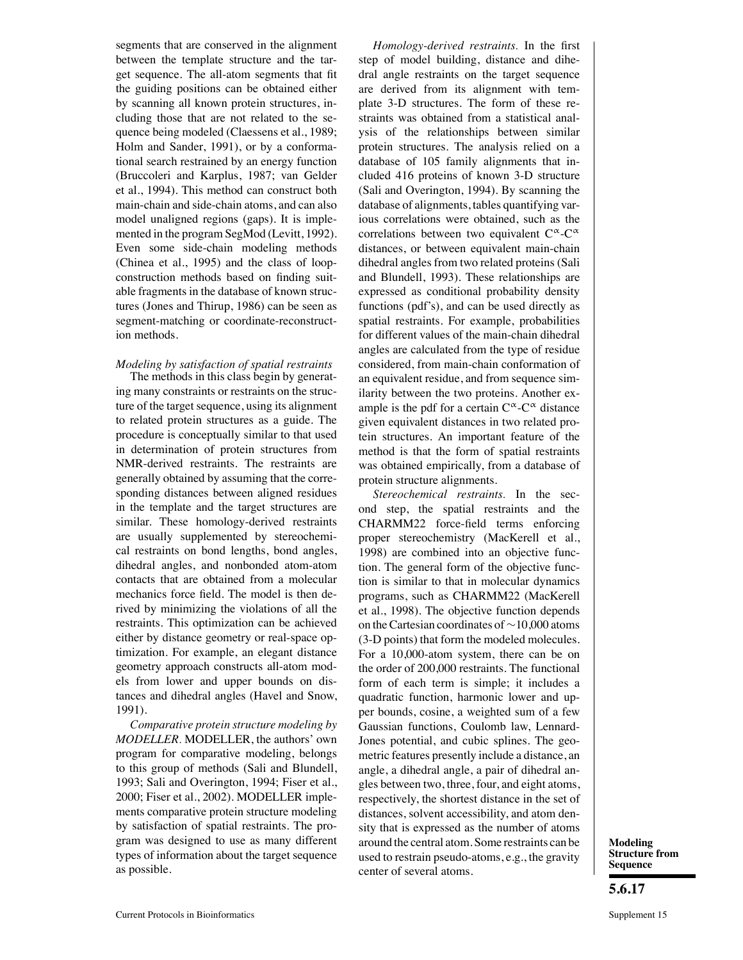segments that are conserved in the alignment between the template structure and the target sequence. The all-atom segments that fit the guiding positions can be obtained either by scanning all known protein structures, including those that are not related to the sequence being modeled (Claessens et al., 1989; Holm and Sander, 1991), or by a conformational search restrained by an energy function (Bruccoleri and Karplus, 1987; van Gelder et al., 1994). This method can construct both main-chain and side-chain atoms, and can also model unaligned regions (gaps). It is implemented in the program SegMod (Levitt, 1992). Even some side-chain modeling methods (Chinea et al., 1995) and the class of loopconstruction methods based on finding suitable fragments in the database of known structures (Jones and Thirup, 1986) can be seen as segment-matching or coordinate-reconstruction methods.

#### *Modeling by satisfaction of spatial restraints*

The methods in this class begin by generating many constraints or restraints on the structure of the target sequence, using its alignment to related protein structures as a guide. The procedure is conceptually similar to that used in determination of protein structures from NMR-derived restraints. The restraints are generally obtained by assuming that the corresponding distances between aligned residues in the template and the target structures are similar. These homology-derived restraints are usually supplemented by stereochemical restraints on bond lengths, bond angles, dihedral angles, and nonbonded atom-atom contacts that are obtained from a molecular mechanics force field. The model is then derived by minimizing the violations of all the restraints. This optimization can be achieved either by distance geometry or real-space optimization. For example, an elegant distance geometry approach constructs all-atom models from lower and upper bounds on distances and dihedral angles (Havel and Snow, 1991).

*Comparative protein structure modeling by MODELLER.* MODELLER, the authors' own program for comparative modeling, belongs to this group of methods (Sali and Blundell, 1993; Sali and Overington, 1994; Fiser et al., 2000; Fiser et al., 2002). MODELLER implements comparative protein structure modeling by satisfaction of spatial restraints. The program was designed to use as many different types of information about the target sequence as possible.

*Homology-derived restraints.* In the first step of model building, distance and dihedral angle restraints on the target sequence are derived from its alignment with template 3-D structures. The form of these restraints was obtained from a statistical analysis of the relationships between similar protein structures. The analysis relied on a database of 105 family alignments that included 416 proteins of known 3-D structure (Sali and Overington, 1994). By scanning the database of alignments, tables quantifying various correlations were obtained, such as the correlations between two equivalent  $C^{\alpha}$ -C $^{\alpha}$ distances, or between equivalent main-chain dihedral angles from two related proteins (Sali and Blundell, 1993). These relationships are expressed as conditional probability density functions (pdf's), and can be used directly as spatial restraints. For example, probabilities for different values of the main-chain dihedral angles are calculated from the type of residue considered, from main-chain conformation of an equivalent residue, and from sequence similarity between the two proteins. Another example is the pdf for a certain  $C^{\alpha}$ -C $^{\alpha}$  distance given equivalent distances in two related protein structures. An important feature of the method is that the form of spatial restraints was obtained empirically, from a database of protein structure alignments.

*Stereochemical restraints.* In the second step, the spatial restraints and the CHARMM22 force-field terms enforcing proper stereochemistry (MacKerell et al., 1998) are combined into an objective function. The general form of the objective function is similar to that in molecular dynamics programs, such as CHARMM22 (MacKerell et al., 1998). The objective function depends on the Cartesian coordinates of∼10,000 atoms (3-D points) that form the modeled molecules. For a 10,000-atom system, there can be on the order of 200,000 restraints. The functional form of each term is simple; it includes a quadratic function, harmonic lower and upper bounds, cosine, a weighted sum of a few Gaussian functions, Coulomb law, Lennard-Jones potential, and cubic splines. The geometric features presently include a distance, an angle, a dihedral angle, a pair of dihedral angles between two, three, four, and eight atoms, respectively, the shortest distance in the set of distances, solvent accessibility, and atom density that is expressed as the number of atoms around the central atom. Some restraints can be used to restrain pseudo-atoms, e.g., the gravity center of several atoms.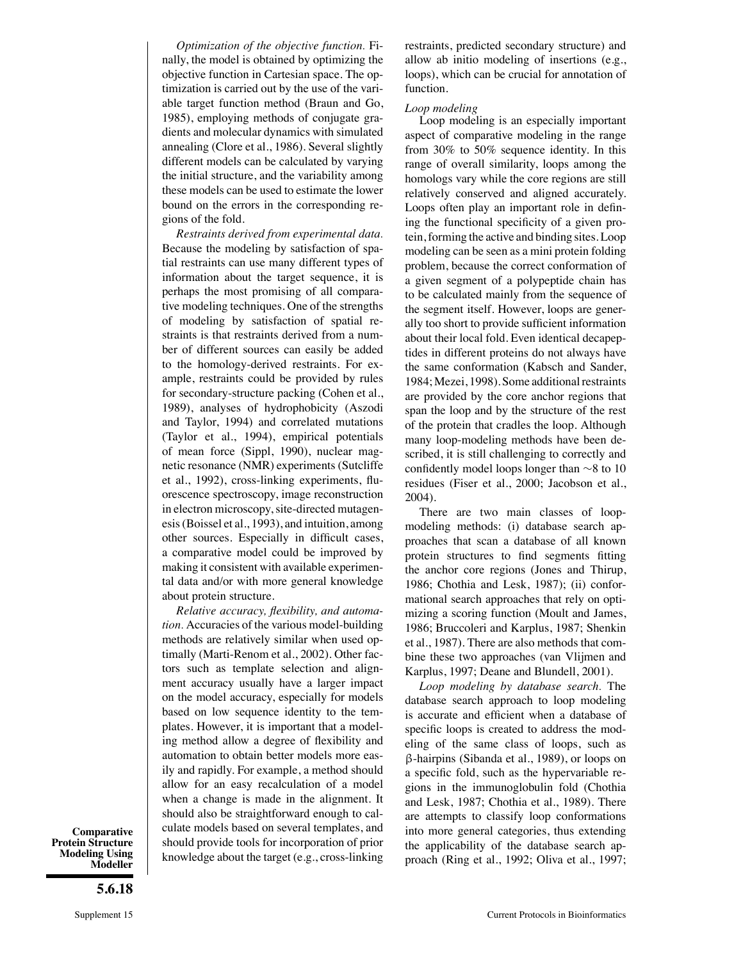*Optimization of the objective function.* Finally, the model is obtained by optimizing the objective function in Cartesian space. The optimization is carried out by the use of the variable target function method (Braun and Go, 1985), employing methods of conjugate gradients and molecular dynamics with simulated annealing (Clore et al., 1986). Several slightly different models can be calculated by varying the initial structure, and the variability among these models can be used to estimate the lower bound on the errors in the corresponding regions of the fold.

*Restraints derived from experimental data.* Because the modeling by satisfaction of spatial restraints can use many different types of information about the target sequence, it is perhaps the most promising of all comparative modeling techniques. One of the strengths of modeling by satisfaction of spatial restraints is that restraints derived from a number of different sources can easily be added to the homology-derived restraints. For example, restraints could be provided by rules for secondary-structure packing (Cohen et al., 1989), analyses of hydrophobicity (Aszodi and Taylor, 1994) and correlated mutations (Taylor et al., 1994), empirical potentials of mean force (Sippl, 1990), nuclear magnetic resonance (NMR) experiments (Sutcliffe et al., 1992), cross-linking experiments, fluorescence spectroscopy, image reconstruction in electron microscopy, site-directed mutagenesis (Boissel et al., 1993), and intuition, among other sources. Especially in difficult cases, a comparative model could be improved by making it consistent with available experimental data and/or with more general knowledge about protein structure.

*Relative accuracy, flexibility, and automation.* Accuracies of the various model-building methods are relatively similar when used optimally (Marti-Renom et al., 2002). Other factors such as template selection and alignment accuracy usually have a larger impact on the model accuracy, especially for models based on low sequence identity to the templates. However, it is important that a modeling method allow a degree of flexibility and automation to obtain better models more easily and rapidly. For example, a method should allow for an easy recalculation of a model when a change is made in the alignment. It should also be straightforward enough to calculate models based on several templates, and should provide tools for incorporation of prior knowledge about the target (e.g., cross-linking

restraints, predicted secondary structure) and allow ab initio modeling of insertions (e.g., loops), which can be crucial for annotation of function.

#### *Loop modeling*

Loop modeling is an especially important aspect of comparative modeling in the range from 30% to 50% sequence identity. In this range of overall similarity, loops among the homologs vary while the core regions are still relatively conserved and aligned accurately. Loops often play an important role in defining the functional specificity of a given protein, forming the active and binding sites. Loop modeling can be seen as a mini protein folding problem, because the correct conformation of a given segment of a polypeptide chain has to be calculated mainly from the sequence of the segment itself. However, loops are generally too short to provide sufficient information about their local fold. Even identical decapeptides in different proteins do not always have the same conformation (Kabsch and Sander, 1984; Mezei, 1998). Some additional restraints are provided by the core anchor regions that span the loop and by the structure of the rest of the protein that cradles the loop. Although many loop-modeling methods have been described, it is still challenging to correctly and confidently model loops longer than ∼8 to 10 residues (Fiser et al., 2000; Jacobson et al., 2004).

There are two main classes of loopmodeling methods: (i) database search approaches that scan a database of all known protein structures to find segments fitting the anchor core regions (Jones and Thirup, 1986; Chothia and Lesk, 1987); (ii) conformational search approaches that rely on optimizing a scoring function (Moult and James, 1986; Bruccoleri and Karplus, 1987; Shenkin et al., 1987). There are also methods that combine these two approaches (van Vlijmen and Karplus, 1997; Deane and Blundell, 2001).

*Loop modeling by database search.* The database search approach to loop modeling is accurate and efficient when a database of specific loops is created to address the modeling of the same class of loops, such as β-hairpins (Sibanda et al., 1989), or loops on a specific fold, such as the hypervariable regions in the immunoglobulin fold (Chothia and Lesk, 1987; Chothia et al., 1989). There are attempts to classify loop conformations into more general categories, thus extending the applicability of the database search approach (Ring et al., 1992; Oliva et al., 1997;

**Comparative Protein Structure Modeling Using Modeller**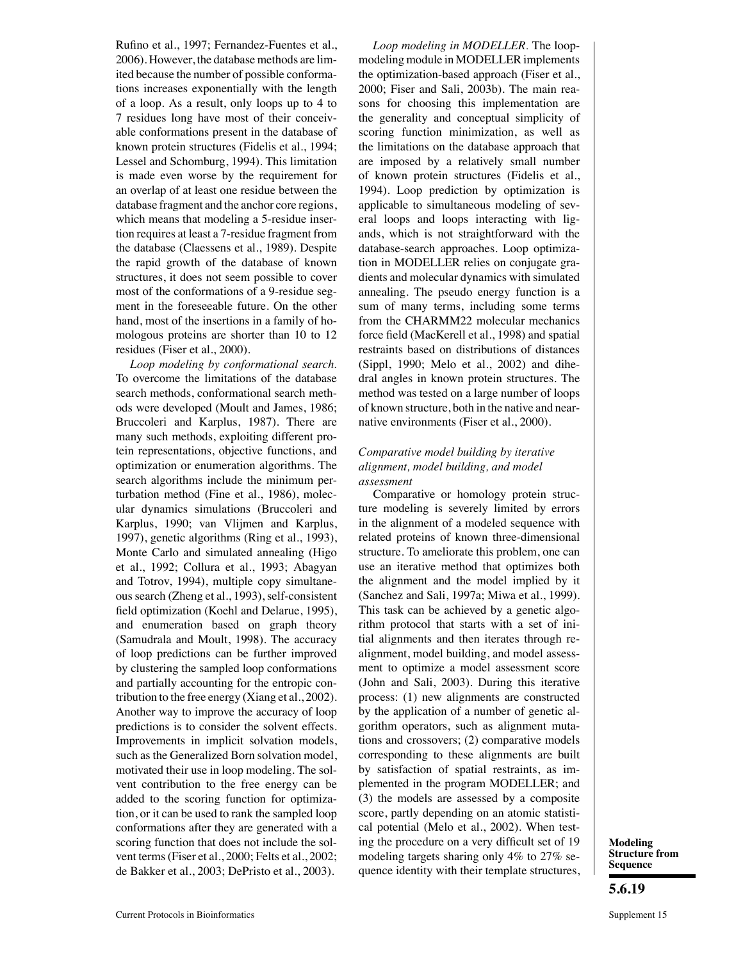Rufino et al., 1997; Fernandez-Fuentes et al., 2006). However, the database methods are limited because the number of possible conformations increases exponentially with the length of a loop. As a result, only loops up to 4 to 7 residues long have most of their conceivable conformations present in the database of known protein structures (Fidelis et al., 1994; Lessel and Schomburg, 1994). This limitation is made even worse by the requirement for an overlap of at least one residue between the database fragment and the anchor core regions, which means that modeling a 5-residue insertion requires at least a 7-residue fragment from the database (Claessens et al., 1989). Despite the rapid growth of the database of known structures, it does not seem possible to cover most of the conformations of a 9-residue segment in the foreseeable future. On the other hand, most of the insertions in a family of homologous proteins are shorter than 10 to 12 residues (Fiser et al., 2000).

*Loop modeling by conformational search.* To overcome the limitations of the database search methods, conformational search methods were developed (Moult and James, 1986; Bruccoleri and Karplus, 1987). There are many such methods, exploiting different protein representations, objective functions, and optimization or enumeration algorithms. The search algorithms include the minimum perturbation method (Fine et al., 1986), molecular dynamics simulations (Bruccoleri and Karplus, 1990; van Vlijmen and Karplus, 1997), genetic algorithms (Ring et al., 1993), Monte Carlo and simulated annealing (Higo et al., 1992; Collura et al., 1993; Abagyan and Totrov, 1994), multiple copy simultaneous search (Zheng et al., 1993), self-consistent field optimization (Koehl and Delarue, 1995), and enumeration based on graph theory (Samudrala and Moult, 1998). The accuracy of loop predictions can be further improved by clustering the sampled loop conformations and partially accounting for the entropic contribution to the free energy (Xiang et al., 2002). Another way to improve the accuracy of loop predictions is to consider the solvent effects. Improvements in implicit solvation models, such as the Generalized Born solvation model, motivated their use in loop modeling. The solvent contribution to the free energy can be added to the scoring function for optimization, or it can be used to rank the sampled loop conformations after they are generated with a scoring function that does not include the solvent terms (Fiser et al., 2000; Felts et al., 2002; de Bakker et al., 2003; DePristo et al., 2003).

*Loop modeling in MODELLER.* The loopmodeling module in MODELLER implements the optimization-based approach (Fiser et al., 2000; Fiser and Sali, 2003b). The main reasons for choosing this implementation are the generality and conceptual simplicity of scoring function minimization, as well as the limitations on the database approach that are imposed by a relatively small number of known protein structures (Fidelis et al., 1994). Loop prediction by optimization is applicable to simultaneous modeling of several loops and loops interacting with ligands, which is not straightforward with the database-search approaches. Loop optimization in MODELLER relies on conjugate gradients and molecular dynamics with simulated annealing. The pseudo energy function is a sum of many terms, including some terms from the CHARMM22 molecular mechanics force field (MacKerell et al., 1998) and spatial restraints based on distributions of distances (Sippl, 1990; Melo et al., 2002) and dihedral angles in known protein structures. The method was tested on a large number of loops of known structure, both in the native and nearnative environments (Fiser et al., 2000).

## *Comparative model building by iterative alignment, model building, and model assessment*

Comparative or homology protein structure modeling is severely limited by errors in the alignment of a modeled sequence with related proteins of known three-dimensional structure. To ameliorate this problem, one can use an iterative method that optimizes both the alignment and the model implied by it (Sanchez and Sali, 1997a; Miwa et al., 1999). This task can be achieved by a genetic algorithm protocol that starts with a set of initial alignments and then iterates through realignment, model building, and model assessment to optimize a model assessment score (John and Sali, 2003). During this iterative process: (1) new alignments are constructed by the application of a number of genetic algorithm operators, such as alignment mutations and crossovers; (2) comparative models corresponding to these alignments are built by satisfaction of spatial restraints, as implemented in the program MODELLER; and (3) the models are assessed by a composite score, partly depending on an atomic statistical potential (Melo et al., 2002). When testing the procedure on a very difficult set of 19 modeling targets sharing only 4% to 27% sequence identity with their template structures,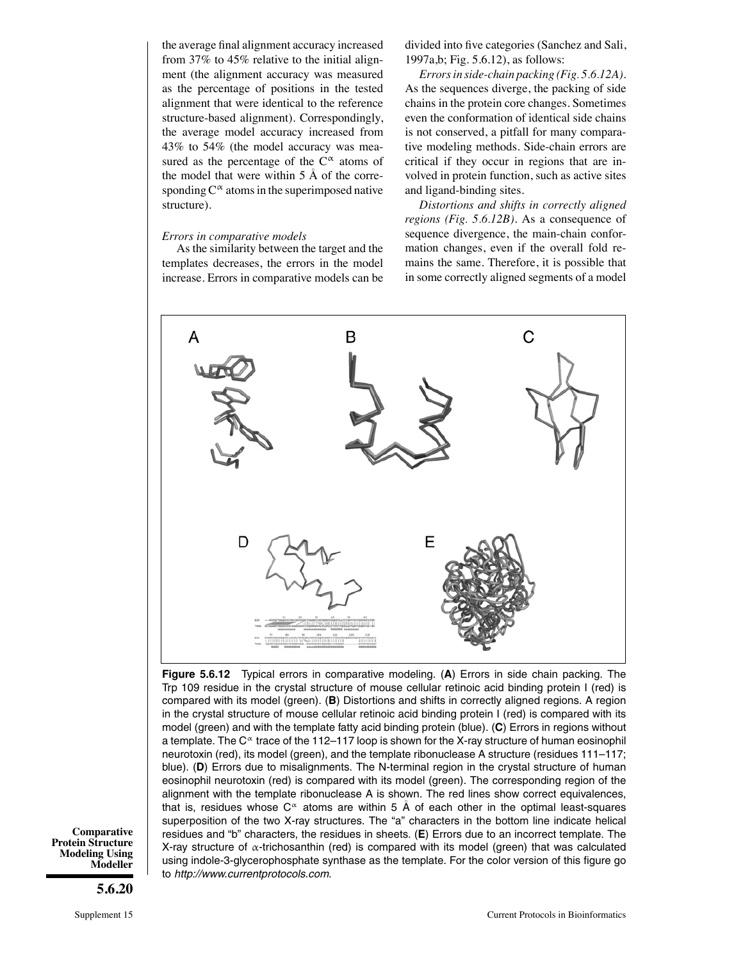the average final alignment accuracy increased from 37% to 45% relative to the initial alignment (the alignment accuracy was measured as the percentage of positions in the tested alignment that were identical to the reference structure-based alignment). Correspondingly, the average model accuracy increased from 43% to 54% (the model accuracy was measured as the percentage of the  $C^{\alpha}$  atoms of the model that were within  $5 \text{ Å}$  of the corresponding  $C^{\alpha}$  atoms in the superimposed native structure).

#### *Errors in comparative models*

As the similarity between the target and the templates decreases, the errors in the model increase. Errors in comparative models can be

divided into five categories (Sanchez and Sali, 1997a,b; Fig. 5.6.12), as follows:

*Errors in side-chain packing (Fig. 5.6.12A)*. As the sequences diverge, the packing of side chains in the protein core changes. Sometimes even the conformation of identical side chains is not conserved, a pitfall for many comparative modeling methods. Side-chain errors are critical if they occur in regions that are involved in protein function, such as active sites and ligand-binding sites.

*Distortions and shifts in correctly aligned regions (Fig. 5.6.12B)*. As a consequence of sequence divergence, the main-chain conformation changes, even if the overall fold remains the same. Therefore, it is possible that in some correctly aligned segments of a model



**Figure 5.6.12** Typical errors in comparative modeling. (**A**) Errors in side chain packing. The Trp 109 residue in the crystal structure of mouse cellular retinoic acid binding protein I (red) is compared with its model (green). (**B**) Distortions and shifts in correctly aligned regions. A region in the crystal structure of mouse cellular retinoic acid binding protein I (red) is compared with its model (green) and with the template fatty acid binding protein (blue). (**C**) Errors in regions without a template. The  $C^{\alpha}$  trace of the 112–117 loop is shown for the X-ray structure of human eosinophil neurotoxin (red), its model (green), and the template ribonuclease A structure (residues 111–117; blue). (**D**) Errors due to misalignments. The N-terminal region in the crystal structure of human eosinophil neurotoxin (red) is compared with its model (green). The corresponding region of the alignment with the template ribonuclease A is shown. The red lines show correct equivalences, that is, residues whose C $^{\alpha}$  atoms are within 5  $\rm \AA$  of each other in the optimal least-squares superposition of the two X-ray structures. The "a" characters in the bottom line indicate helical residues and "b" characters, the residues in sheets. (**E**) Errors due to an incorrect template. The X-ray structure of α-trichosanthin (red) is compared with its model (green) that was calculated using indole-3-glycerophosphate synthase as the template. For the color version of this figure go to http://www.currentprotocols.com.

**Comparative Protein Structure Modeling Using Modeller**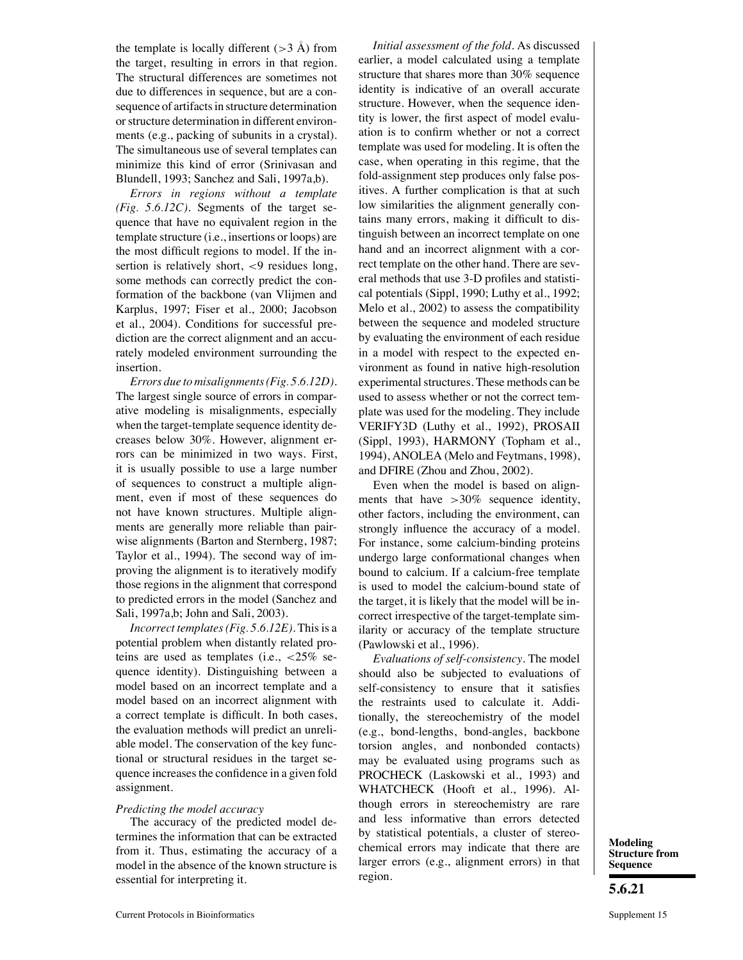the template is locally different  $(>3 \text{ Å})$  from the target, resulting in errors in that region. The structural differences are sometimes not due to differences in sequence, but are a consequence of artifacts in structure determination or structure determination in different environments (e.g., packing of subunits in a crystal). The simultaneous use of several templates can minimize this kind of error (Srinivasan and Blundell, 1993; Sanchez and Sali, 1997a,b).

*Errors in regions without a template (Fig. 5.6.12C)*. Segments of the target sequence that have no equivalent region in the template structure (i.e., insertions or loops) are the most difficult regions to model. If the insertion is relatively short, <9 residues long, some methods can correctly predict the conformation of the backbone (van Vlijmen and Karplus, 1997; Fiser et al., 2000; Jacobson et al., 2004). Conditions for successful prediction are the correct alignment and an accurately modeled environment surrounding the insertion.

*Errors due to misalignments (Fig. 5.6.12D)*. The largest single source of errors in comparative modeling is misalignments, especially when the target-template sequence identity decreases below 30%. However, alignment errors can be minimized in two ways. First, it is usually possible to use a large number of sequences to construct a multiple alignment, even if most of these sequences do not have known structures. Multiple alignments are generally more reliable than pairwise alignments (Barton and Sternberg, 1987; Taylor et al., 1994). The second way of improving the alignment is to iteratively modify those regions in the alignment that correspond to predicted errors in the model (Sanchez and Sali, 1997a,b; John and Sali, 2003).

*Incorrect templates (Fig. 5.6.12E)*. This is a potential problem when distantly related proteins are used as templates (i.e.,  $< 25\%$  sequence identity). Distinguishing between a model based on an incorrect template and a model based on an incorrect alignment with a correct template is difficult. In both cases, the evaluation methods will predict an unreliable model. The conservation of the key functional or structural residues in the target sequence increases the confidence in a given fold assignment.

#### *Predicting the model accuracy*

The accuracy of the predicted model determines the information that can be extracted from it. Thus, estimating the accuracy of a model in the absence of the known structure is essential for interpreting it.

*Initial assessment of the fold*. As discussed earlier, a model calculated using a template structure that shares more than 30% sequence identity is indicative of an overall accurate structure. However, when the sequence identity is lower, the first aspect of model evaluation is to confirm whether or not a correct template was used for modeling. It is often the case, when operating in this regime, that the fold-assignment step produces only false positives. A further complication is that at such low similarities the alignment generally contains many errors, making it difficult to distinguish between an incorrect template on one hand and an incorrect alignment with a correct template on the other hand. There are several methods that use 3-D profiles and statistical potentials (Sippl, 1990; Luthy et al., 1992; Melo et al., 2002) to assess the compatibility between the sequence and modeled structure by evaluating the environment of each residue in a model with respect to the expected environment as found in native high-resolution experimental structures. These methods can be used to assess whether or not the correct template was used for the modeling. They include VERIFY3D (Luthy et al., 1992), PROSAII (Sippl, 1993), HARMONY (Topham et al., 1994), ANOLEA (Melo and Feytmans, 1998), and DFIRE (Zhou and Zhou, 2002).

Even when the model is based on alignments that have  $>30\%$  sequence identity, other factors, including the environment, can strongly influence the accuracy of a model. For instance, some calcium-binding proteins undergo large conformational changes when bound to calcium. If a calcium-free template is used to model the calcium-bound state of the target, it is likely that the model will be incorrect irrespective of the target-template similarity or accuracy of the template structure (Pawlowski et al., 1996).

*Evaluations of self-consistency*. The model should also be subjected to evaluations of self-consistency to ensure that it satisfies the restraints used to calculate it. Additionally, the stereochemistry of the model (e.g., bond-lengths, bond-angles, backbone torsion angles, and nonbonded contacts) may be evaluated using programs such as PROCHECK (Laskowski et al., 1993) and WHATCHECK (Hooft et al., 1996). Although errors in stereochemistry are rare and less informative than errors detected by statistical potentials, a cluster of stereochemical errors may indicate that there are larger errors (e.g., alignment errors) in that region.

**Modeling Structure from Sequence**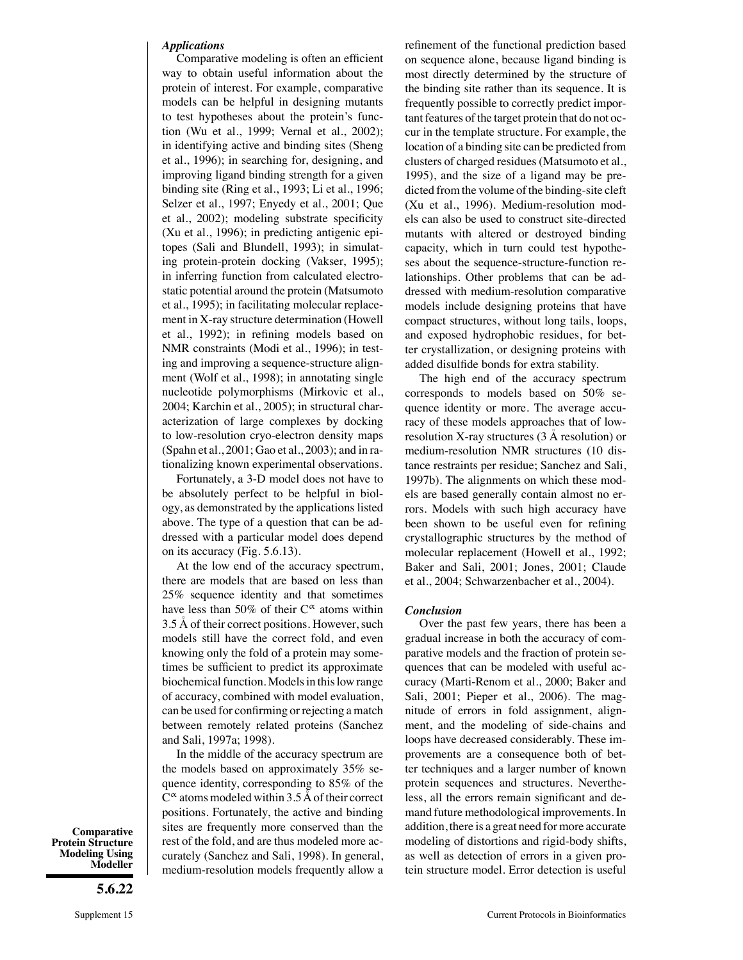#### *Applications*

Comparative modeling is often an efficient way to obtain useful information about the protein of interest. For example, comparative models can be helpful in designing mutants to test hypotheses about the protein's function (Wu et al., 1999; Vernal et al., 2002); in identifying active and binding sites (Sheng et al., 1996); in searching for, designing, and improving ligand binding strength for a given binding site (Ring et al., 1993; Li et al., 1996; Selzer et al., 1997; Enyedy et al., 2001; Que et al., 2002); modeling substrate specificity (Xu et al., 1996); in predicting antigenic epitopes (Sali and Blundell, 1993); in simulating protein-protein docking (Vakser, 1995); in inferring function from calculated electrostatic potential around the protein (Matsumoto et al., 1995); in facilitating molecular replacement in X-ray structure determination (Howell et al., 1992); in refining models based on NMR constraints (Modi et al., 1996); in testing and improving a sequence-structure alignment (Wolf et al., 1998); in annotating single nucleotide polymorphisms (Mirkovic et al., 2004; Karchin et al., 2005); in structural characterization of large complexes by docking to low-resolution cryo-electron density maps (Spahn et al., 2001; Gao et al., 2003); and in rationalizing known experimental observations.

Fortunately, a 3-D model does not have to be absolutely perfect to be helpful in biology, as demonstrated by the applications listed above. The type of a question that can be addressed with a particular model does depend on its accuracy (Fig. 5.6.13).

At the low end of the accuracy spectrum, there are models that are based on less than 25% sequence identity and that sometimes have less than 50% of their  $C^{\alpha}$  atoms within  $3.5 \text{ Å}$  of their correct positions. However, such models still have the correct fold, and even knowing only the fold of a protein may sometimes be sufficient to predict its approximate biochemical function. Models in this low range of accuracy, combined with model evaluation, can be used for confirming or rejecting a match between remotely related proteins (Sanchez and Sali, 1997a; 1998).

In the middle of the accuracy spectrum are the models based on approximately 35% sequence identity, corresponding to 85% of the  $C^{\alpha}$  atoms modeled within 3.5 Å of their correct positions. Fortunately, the active and binding sites are frequently more conserved than the rest of the fold, and are thus modeled more accurately (Sanchez and Sali, 1998). In general, medium-resolution models frequently allow a

refinement of the functional prediction based on sequence alone, because ligand binding is most directly determined by the structure of the binding site rather than its sequence. It is frequently possible to correctly predict important features of the target protein that do not occur in the template structure. For example, the location of a binding site can be predicted from clusters of charged residues (Matsumoto et al., 1995), and the size of a ligand may be predicted from the volume of the binding-site cleft (Xu et al., 1996). Medium-resolution models can also be used to construct site-directed mutants with altered or destroyed binding capacity, which in turn could test hypotheses about the sequence-structure-function relationships. Other problems that can be addressed with medium-resolution comparative models include designing proteins that have compact structures, without long tails, loops, and exposed hydrophobic residues, for better crystallization, or designing proteins with added disulfide bonds for extra stability.

The high end of the accuracy spectrum corresponds to models based on 50% sequence identity or more. The average accuracy of these models approaches that of lowresolution X-ray structures (3  $\rm \AA$  resolution) or medium-resolution NMR structures (10 distance restraints per residue; Sanchez and Sali, 1997b). The alignments on which these models are based generally contain almost no errors. Models with such high accuracy have been shown to be useful even for refining crystallographic structures by the method of molecular replacement (Howell et al., 1992; Baker and Sali, 2001; Jones, 2001; Claude et al., 2004; Schwarzenbacher et al., 2004).

#### *Conclusion*

Over the past few years, there has been a gradual increase in both the accuracy of comparative models and the fraction of protein sequences that can be modeled with useful accuracy (Marti-Renom et al., 2000; Baker and Sali, 2001; Pieper et al., 2006). The magnitude of errors in fold assignment, alignment, and the modeling of side-chains and loops have decreased considerably. These improvements are a consequence both of better techniques and a larger number of known protein sequences and structures. Nevertheless, all the errors remain significant and demand future methodological improvements. In addition, there is a great need for more accurate modeling of distortions and rigid-body shifts, as well as detection of errors in a given protein structure model. Error detection is useful

**Comparative Protein Structure Modeling Using Modeller**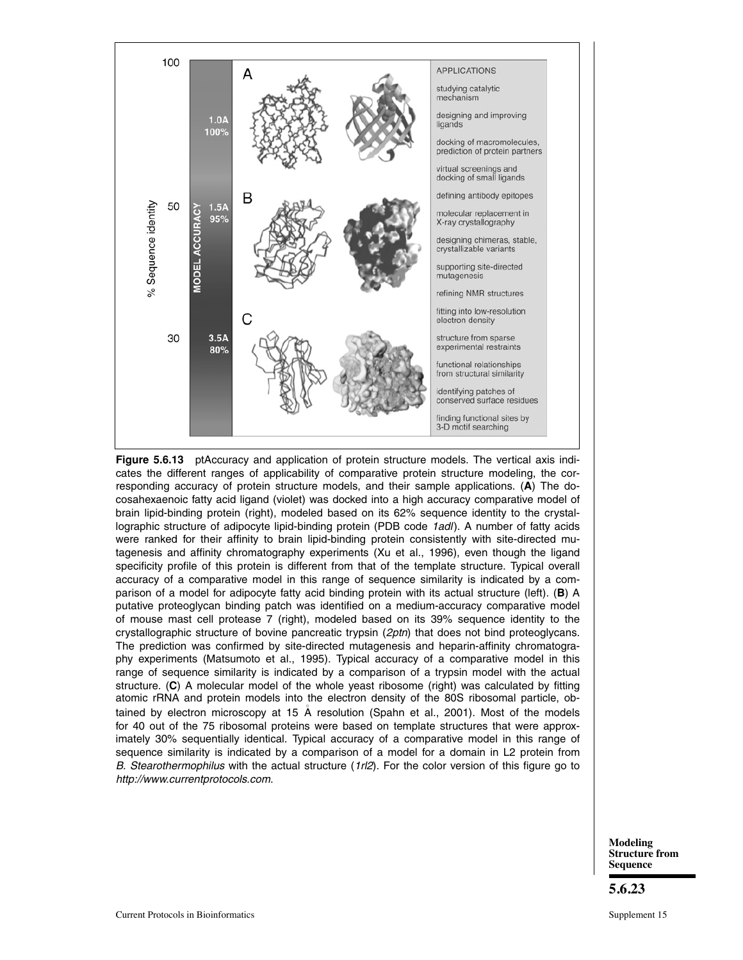

**Figure 5.6.13** ptAccuracy and application of protein structure models. The vertical axis indicates the different ranges of applicability of comparative protein structure modeling, the corresponding accuracy of protein structure models, and their sample applications. (**A**) The docosahexaenoic fatty acid ligand (violet) was docked into a high accuracy comparative model of brain lipid-binding protein (right), modeled based on its 62% sequence identity to the crystallographic structure of adipocyte lipid-binding protein (PDB code 1adl). A number of fatty acids were ranked for their affinity to brain lipid-binding protein consistently with site-directed mutagenesis and affinity chromatography experiments (Xu et al., 1996), even though the ligand specificity profile of this protein is different from that of the template structure. Typical overall accuracy of a comparative model in this range of sequence similarity is indicated by a comparison of a model for adipocyte fatty acid binding protein with its actual structure (left). (**B**) A putative proteoglycan binding patch was identified on a medium-accuracy comparative model of mouse mast cell protease 7 (right), modeled based on its 39% sequence identity to the crystallographic structure of bovine pancreatic trypsin (2ptn) that does not bind proteoglycans. The prediction was confirmed by site-directed mutagenesis and heparin-affinity chromatography experiments (Matsumoto et al., 1995). Typical accuracy of a comparative model in this range of sequence similarity is indicated by a comparison of a trypsin model with the actual structure. (**C**) A molecular model of the whole yeast ribosome (right) was calculated by fitting atomic rRNA and protein models into the electron density of the 80S ribosomal particle, obtained by electron microscopy at 15 Å resolution (Spahn et al., 2001). Most of the models for 40 out of the 75 ribosomal proteins were based on template structures that were approximately 30% sequentially identical. Typical accuracy of a comparative model in this range of sequence similarity is indicated by a comparison of a model for a domain in L2 protein from B. Stearothermophilus with the actual structure (1rl2). For the color version of this figure go to http://www.currentprotocols.com.

> **Modeling Structure from Sequence**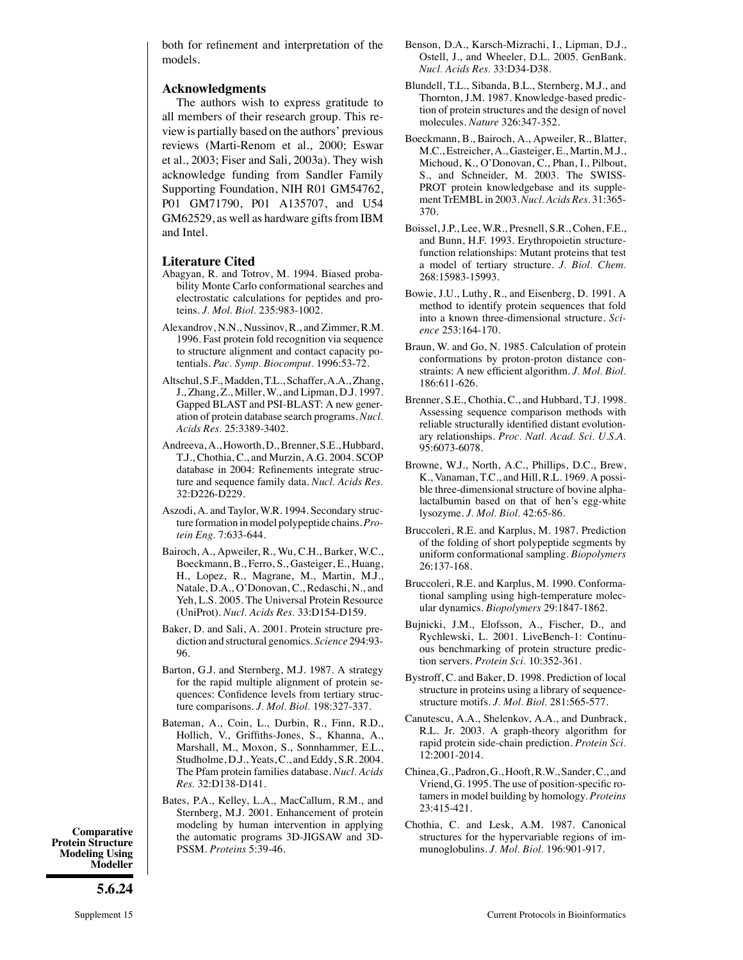both for refinement and interpretation of the models.

#### **Acknowledgments**

The authors wish to express gratitude to all members of their research group. This review is partially based on the authors' previous reviews (Marti-Renom et al., 2000; Eswar et al., 2003; Fiser and Sali, 2003a). They wish acknowledge funding from Sandler Family Supporting Foundation, NIH R01 GM54762, P01 GM71790, P01 A135707, and U54 GM62529, as well as hardware gifts from IBM and Intel.

#### **Literature Cited**

- Abagyan, R. and Totrov, M. 1994. Biased probability Monte Carlo conformational searches and electrostatic calculations for peptides and proteins. *J. Mol. Biol.* 235:983-1002.
- Alexandrov, N.N., Nussinov, R., and Zimmer, R.M. 1996. Fast protein fold recognition via sequence to structure alignment and contact capacity potentials. *Pac. Symp. Biocomput.* 1996:53-72.
- Altschul, S.F., Madden, T.L., Schaffer, A.A., Zhang, J., Zhang, Z., Miller, W., and Lipman, D.J. 1997. Gapped BLAST and PSI-BLAST: A new generation of protein database search programs. *Nucl. Acids Res.* 25:3389-3402.
- Andreeva, A., Howorth, D., Brenner, S.E., Hubbard, T.J., Chothia, C., and Murzin, A.G. 2004. SCOP database in 2004: Refinements integrate structure and sequence family data. *Nucl. Acids Res.* 32:D226-D229.
- Aszodi, A. and Taylor, W.R. 1994. Secondary structure formation in model polypeptide chains.*Protein Eng.* 7:633-644.
- Bairoch, A., Apweiler, R., Wu, C.H., Barker, W.C., Boeckmann, B., Ferro, S., Gasteiger, E., Huang, H., Lopez, R., Magrane, M., Martin, M.J., Natale, D.A., O'Donovan, C., Redaschi, N., and Yeh, L.S. 2005. The Universal Protein Resource (UniProt). *Nucl. Acids Res.* 33:D154-D159.
- Baker, D. and Sali, A. 2001. Protein structure prediction and structural genomics. *Science* 294:93- 96.
- Barton, G.J. and Sternberg, M.J. 1987. A strategy for the rapid multiple alignment of protein sequences: Confidence levels from tertiary structure comparisons. *J. Mol. Biol.* 198:327-337.
- Bateman, A., Coin, L., Durbin, R., Finn, R.D., Hollich, V., Griffiths-Jones, S., Khanna, A., Marshall, M., Moxon, S., Sonnhammer, E.L., Studholme, D.J., Yeats, C., and Eddy, S.R. 2004. The Pfam protein families database. *Nucl. Acids Res.* 32:D138-D141.
- Bates, P.A., Kelley, L.A., MacCallum, R.M., and Sternberg, M.J. 2001. Enhancement of protein modeling by human intervention in applying the automatic programs 3D-JIGSAW and 3D-PSSM. *Proteins* 5:39-46.
- Benson, D.A., Karsch-Mizrachi, I., Lipman, D.J., Ostell, J., and Wheeler, D.L. 2005. GenBank. *Nucl. Acids Res.* 33:D34-D38.
- Blundell, T.L., Sibanda, B.L., Sternberg, M.J., and Thornton, J.M. 1987. Knowledge-based prediction of protein structures and the design of novel molecules. *Nature* 326:347-352.
- Boeckmann, B., Bairoch, A., Apweiler, R., Blatter, M.C., Estreicher, A., Gasteiger, E., Martin, M.J., Michoud, K., O'Donovan, C., Phan, I., Pilbout, S., and Schneider, M. 2003. The SWISS-PROT protein knowledgebase and its supplement TrEMBL in 2003.*Nucl. Acids Res.* 31:365- 370.
- Boissel, J.P., Lee, W.R., Presnell, S.R., Cohen, F.E., and Bunn, H.F. 1993. Erythropoietin structurefunction relationships: Mutant proteins that test a model of tertiary structure. *J. Biol. Chem.* 268:15983-15993.
- Bowie, J.U., Luthy, R., and Eisenberg, D. 1991. A method to identify protein sequences that fold into a known three-dimensional structure. *Science* 253:164-170.
- Braun, W. and Go, N. 1985. Calculation of protein conformations by proton-proton distance constraints: A new efficient algorithm. *J. Mol. Biol.* 186:611-626.
- Brenner, S.E., Chothia, C., and Hubbard, T.J. 1998. Assessing sequence comparison methods with reliable structurally identified distant evolutionary relationships. *Proc. Natl. Acad. Sci. U.S.A.* 95:6073-6078.
- Browne, W.J., North, A.C., Phillips, D.C., Brew, K., Vanaman, T.C., and Hill, R.L. 1969. A possible three-dimensional structure of bovine alphalactalbumin based on that of hen's egg-white lysozyme. *J. Mol. Biol.* 42:65-86.
- Bruccoleri, R.E. and Karplus, M. 1987. Prediction of the folding of short polypeptide segments by uniform conformational sampling. *Biopolymers* 26:137-168.
- Bruccoleri, R.E. and Karplus, M. 1990. Conformational sampling using high-temperature molecular dynamics. *Biopolymers* 29:1847-1862.
- Bujnicki, J.M., Elofsson, A., Fischer, D., and Rychlewski, L. 2001. LiveBench-1: Continuous benchmarking of protein structure prediction servers. *Protein Sci.* 10:352-361.
- Bystroff, C. and Baker, D. 1998. Prediction of local structure in proteins using a library of sequencestructure motifs. *J. Mol. Biol.* 281:565-577.
- Canutescu, A.A., Shelenkov, A.A., and Dunbrack, R.L. Jr. 2003. A graph-theory algorithm for rapid protein side-chain prediction. *Protein Sci.* 12:2001-2014.
- Chinea, G., Padron, G., Hooft, R.W., Sander, C., and Vriend, G. 1995. The use of position-specific rotamers in model building by homology. *Proteins* 23:415-421.
- Chothia, C. and Lesk, A.M. 1987. Canonical structures for the hypervariable regions of immunoglobulins. *J. Mol. Biol.* 196:901-917.

**Comparative Protein Structure Modeling Using Modeller**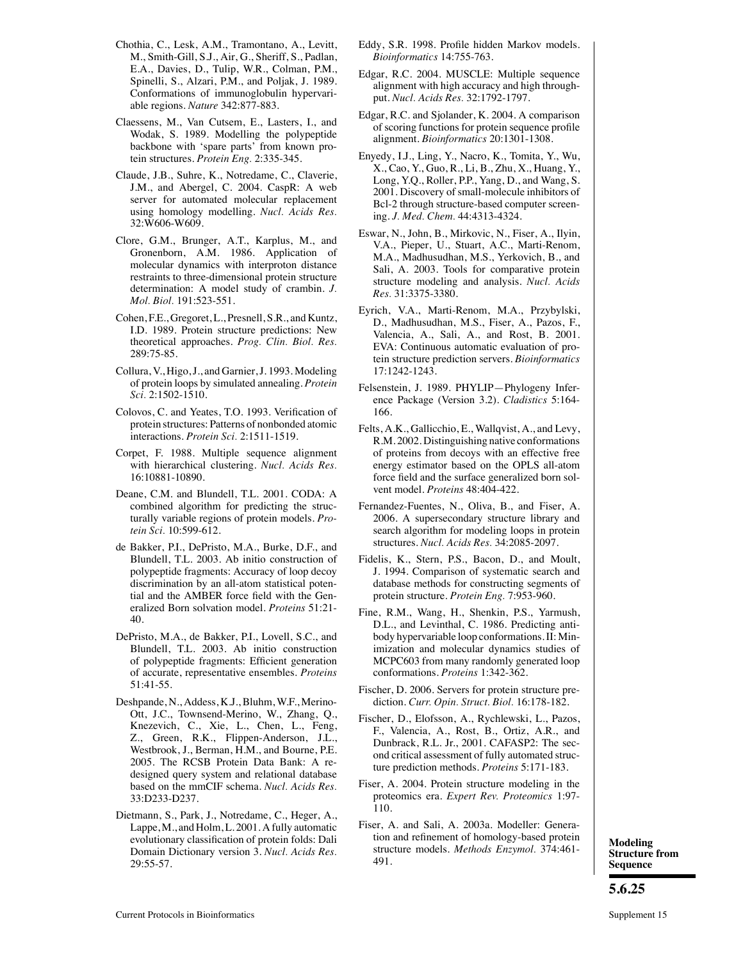- Chothia, C., Lesk, A.M., Tramontano, A., Levitt, M., Smith-Gill, S.J., Air, G., Sheriff, S., Padlan, E.A., Davies, D., Tulip, W.R., Colman, P.M., Spinelli, S., Alzari, P.M., and Poljak, J. 1989. Conformations of immunoglobulin hypervariable regions. *Nature* 342:877-883.
- Claessens, M., Van Cutsem, E., Lasters, I., and Wodak, S. 1989. Modelling the polypeptide backbone with 'spare parts' from known protein structures. *Protein Eng.* 2:335-345.
- Claude, J.B., Suhre, K., Notredame, C., Claverie, J.M., and Abergel, C. 2004. CaspR: A web server for automated molecular replacement using homology modelling. *Nucl. Acids Res.* 32:W606-W609.
- Clore, G.M., Brunger, A.T., Karplus, M., and Gronenborn, A.M. 1986. Application of molecular dynamics with interproton distance restraints to three-dimensional protein structure determination: A model study of crambin. *J. Mol. Biol.* 191:523-551.
- Cohen, F.E., Gregoret, L., Presnell, S.R., and Kuntz, I.D. 1989. Protein structure predictions: New theoretical approaches. *Prog. Clin. Biol. Res.* 289:75-85.
- Collura, V., Higo, J., and Garnier, J. 1993. Modeling of protein loops by simulated annealing. *Protein Sci.* 2:1502-1510.
- Colovos, C. and Yeates, T.O. 1993. Verification of protein structures: Patterns of nonbonded atomic interactions. *Protein Sci.* 2:1511-1519.
- Corpet, F. 1988. Multiple sequence alignment with hierarchical clustering. *Nucl. Acids Res.* 16:10881-10890.
- Deane, C.M. and Blundell, T.L. 2001. CODA: A combined algorithm for predicting the structurally variable regions of protein models. *Protein Sci.* 10:599-612.
- de Bakker, P.I., DePristo, M.A., Burke, D.F., and Blundell, T.L. 2003. Ab initio construction of polypeptide fragments: Accuracy of loop decoy discrimination by an all-atom statistical potential and the AMBER force field with the Generalized Born solvation model. *Proteins* 51:21- 40.
- DePristo, M.A., de Bakker, P.I., Lovell, S.C., and Blundell, T.L. 2003. Ab initio construction of polypeptide fragments: Efficient generation of accurate, representative ensembles. *Proteins* 51:41-55.
- Deshpande, N., Addess, K.J., Bluhm, W.F., Merino-Ott, J.C., Townsend-Merino, W., Zhang, Q., Knezevich, C., Xie, L., Chen, L., Feng, Z., Green, R.K., Flippen-Anderson, J.L., Westbrook, J., Berman, H.M., and Bourne, P.E. 2005. The RCSB Protein Data Bank: A redesigned query system and relational database based on the mmCIF schema. *Nucl. Acids Res.* 33:D233-D237.
- Dietmann, S., Park, J., Notredame, C., Heger, A., Lappe, M., and Holm, L. 2001. A fully automatic evolutionary classification of protein folds: Dali Domain Dictionary version 3. *Nucl. Acids Res.* 29:55-57.
- Eddy, S.R. 1998. Profile hidden Markov models. *Bioinformatics* 14:755-763.
- Edgar, R.C. 2004. MUSCLE: Multiple sequence alignment with high accuracy and high throughput. *Nucl. Acids Res.* 32:1792-1797.
- Edgar, R.C. and Sjolander, K. 2004. A comparison of scoring functions for protein sequence profile alignment. *Bioinformatics* 20:1301-1308.
- Enyedy, I.J., Ling, Y., Nacro, K., Tomita, Y., Wu, X., Cao, Y., Guo, R., Li, B., Zhu, X., Huang, Y., Long, Y.Q., Roller, P.P., Yang, D., and Wang, S. 2001. Discovery of small-molecule inhibitors of Bcl-2 through structure-based computer screening. *J. Med. Chem.* 44:4313-4324.
- Eswar, N., John, B., Mirkovic, N., Fiser, A., Ilyin, V.A., Pieper, U., Stuart, A.C., Marti-Renom, M.A., Madhusudhan, M.S., Yerkovich, B., and Sali, A. 2003. Tools for comparative protein structure modeling and analysis. *Nucl. Acids Res.* 31:3375-3380.
- Eyrich, V.A., Marti-Renom, M.A., Przybylski, D., Madhusudhan, M.S., Fiser, A., Pazos, F., Valencia, A., Sali, A., and Rost, B. 2001. EVA: Continuous automatic evaluation of protein structure prediction servers. *Bioinformatics* 17:1242-1243.
- Felsenstein, J. 1989. PHYLIP—Phylogeny Inference Package (Version 3.2). *Cladistics* 5:164- 166.
- Felts, A.K., Gallicchio, E., Wallqvist, A., and Levy, R.M. 2002. Distinguishing native conformations of proteins from decoys with an effective free energy estimator based on the OPLS all-atom force field and the surface generalized born solvent model. *Proteins* 48:404-422.
- Fernandez-Fuentes, N., Oliva, B., and Fiser, A. 2006. A supersecondary structure library and search algorithm for modeling loops in protein structures. *Nucl. Acids Res.* 34:2085-2097.
- Fidelis, K., Stern, P.S., Bacon, D., and Moult, J. 1994. Comparison of systematic search and database methods for constructing segments of protein structure. *Protein Eng.* 7:953-960.
- Fine, R.M., Wang, H., Shenkin, P.S., Yarmush, D.L., and Levinthal, C. 1986. Predicting antibody hypervariable loop conformations. II: Minimization and molecular dynamics studies of MCPC603 from many randomly generated loop conformations. *Proteins* 1:342-362.
- Fischer, D. 2006. Servers for protein structure prediction. *Curr. Opin. Struct. Biol.* 16:178-182.
- Fischer, D., Elofsson, A., Rychlewski, L., Pazos, F., Valencia, A., Rost, B., Ortiz, A.R., and Dunbrack, R.L. Jr., 2001. CAFASP2: The second critical assessment of fully automated structure prediction methods. *Proteins* 5:171-183.
- Fiser, A. 2004. Protein structure modeling in the proteomics era. *Expert Rev. Proteomics* 1:97- 110.
- Fiser, A. and Sali, A. 2003a. Modeller: Generation and refinement of homology-based protein structure models. *Methods Enzymol.* 374:461- 491.

**Modeling Structure from Sequence**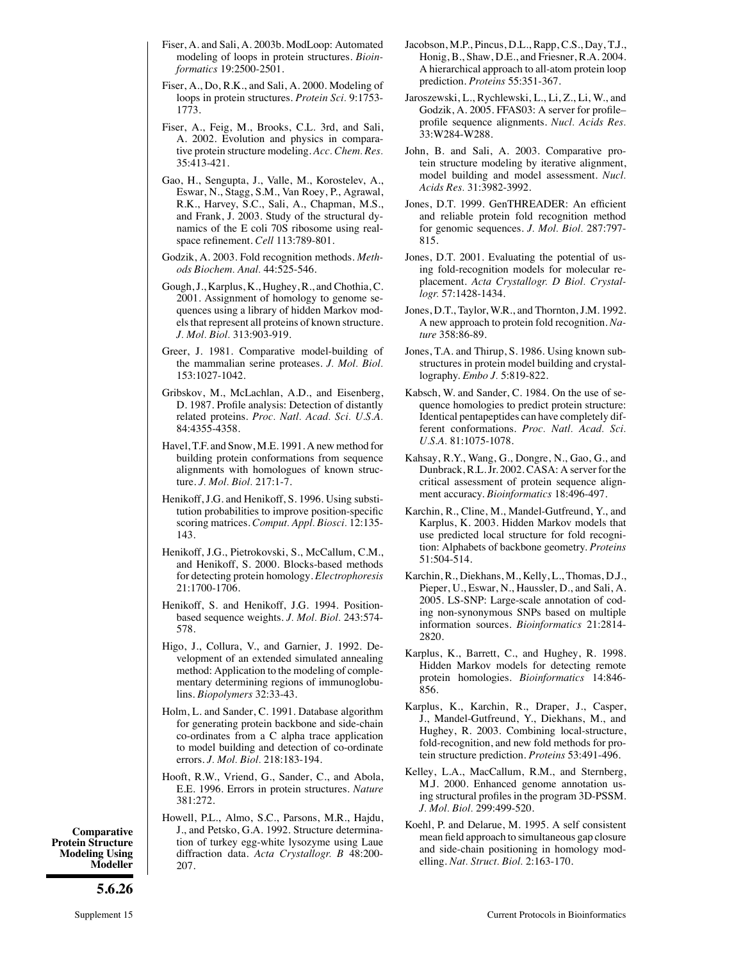- Fiser, A. and Sali, A. 2003b. ModLoop: Automated modeling of loops in protein structures. *Bioinformatics* 19:2500-2501.
- Fiser, A., Do, R.K., and Sali, A. 2000. Modeling of loops in protein structures. *Protein Sci.* 9:1753- 1773.
- Fiser, A., Feig, M., Brooks, C.L. 3rd, and Sali, A. 2002. Evolution and physics in comparative protein structure modeling. *Acc. Chem. Res.* 35:413-421.
- Gao, H., Sengupta, J., Valle, M., Korostelev, A., Eswar, N., Stagg, S.M., Van Roey, P., Agrawal, R.K., Harvey, S.C., Sali, A., Chapman, M.S., and Frank, J. 2003. Study of the structural dynamics of the E coli 70S ribosome using realspace refinement. *Cell* 113:789-801.
- Godzik, A. 2003. Fold recognition methods. *Methods Biochem. Anal.* 44:525-546.
- Gough, J., Karplus, K., Hughey, R., and Chothia, C. 2001. Assignment of homology to genome sequences using a library of hidden Markov models that represent all proteins of known structure. *J. Mol. Biol.* 313:903-919.
- Greer, J. 1981. Comparative model-building of the mammalian serine proteases. *J. Mol. Biol.* 153:1027-1042.
- Gribskov, M., McLachlan, A.D., and Eisenberg, D. 1987. Profile analysis: Detection of distantly related proteins. *Proc. Natl. Acad. Sci. U.S.A.* 84:4355-4358.
- Havel, T.F. and Snow, M.E. 1991. A new method for building protein conformations from sequence alignments with homologues of known structure. *J. Mol. Biol.* 217:1-7.
- Henikoff, J.G. and Henikoff, S. 1996. Using substitution probabilities to improve position-specific scoring matrices. *Comput. Appl. Biosci.* 12:135- 143.
- Henikoff, J.G., Pietrokovski, S., McCallum, C.M., and Henikoff, S. 2000. Blocks-based methods for detecting protein homology. *Electrophoresis* 21:1700-1706.
- Henikoff, S. and Henikoff, J.G. 1994. Positionbased sequence weights. *J. Mol. Biol.* 243:574- 578.
- Higo, J., Collura, V., and Garnier, J. 1992. Development of an extended simulated annealing method: Application to the modeling of complementary determining regions of immunoglobulins. *Biopolymers* 32:33-43.
- Holm, L. and Sander, C. 1991. Database algorithm for generating protein backbone and side-chain co-ordinates from a C alpha trace application to model building and detection of co-ordinate errors. *J. Mol. Biol.* 218:183-194.
- Hooft, R.W., Vriend, G., Sander, C., and Abola, E.E. 1996. Errors in protein structures. *Nature* 381:272.
- Howell, P.L., Almo, S.C., Parsons, M.R., Hajdu, J., and Petsko, G.A. 1992. Structure determination of turkey egg-white lysozyme using Laue diffraction data. *Acta Crystallogr. B* 48:200- 207.
- Jacobson, M.P., Pincus, D.L., Rapp, C.S., Day, T.J., Honig, B., Shaw, D.E., and Friesner, R.A. 2004. A hierarchical approach to all-atom protein loop prediction. *Proteins* 55:351-367.
- Jaroszewski, L., Rychlewski, L., Li, Z., Li, W., and Godzik, A. 2005. FFAS03: A server for profile– profile sequence alignments. *Nucl. Acids Res.* 33:W284-W288.
- John, B. and Sali, A. 2003. Comparative protein structure modeling by iterative alignment, model building and model assessment. *Nucl. Acids Res.* 31:3982-3992.
- Jones, D.T. 1999. GenTHREADER: An efficient and reliable protein fold recognition method for genomic sequences. *J. Mol. Biol.* 287:797- 815.
- Jones, D.T. 2001. Evaluating the potential of using fold-recognition models for molecular replacement. *Acta Crystallogr. D Biol. Crystallogr.* 57:1428-1434.
- Jones, D.T., Taylor, W.R., and Thornton, J.M. 1992. A new approach to protein fold recognition. *Nature* 358:86-89.
- Jones, T.A. and Thirup, S. 1986. Using known substructures in protein model building and crystallography. *Embo J.* 5:819-822.
- Kabsch, W. and Sander, C. 1984. On the use of sequence homologies to predict protein structure: Identical pentapeptides can have completely different conformations. *Proc. Natl. Acad. Sci. U.S.A.* 81:1075-1078.
- Kahsay, R.Y., Wang, G., Dongre, N., Gao, G., and Dunbrack, R.L. Jr. 2002. CASA: A server for the critical assessment of protein sequence alignment accuracy. *Bioinformatics* 18:496-497.
- Karchin, R., Cline, M., Mandel-Gutfreund, Y., and Karplus, K. 2003. Hidden Markov models that use predicted local structure for fold recognition: Alphabets of backbone geometry. *Proteins* 51:504-514.
- Karchin, R., Diekhans, M., Kelly, L., Thomas, D.J., Pieper, U., Eswar, N., Haussler, D., and Sali, A. 2005. LS-SNP: Large-scale annotation of coding non-synonymous SNPs based on multiple information sources. *Bioinformatics* 21:2814- 2820.
- Karplus, K., Barrett, C., and Hughey, R. 1998. Hidden Markov models for detecting remote protein homologies. *Bioinformatics* 14:846- 856.
- Karplus, K., Karchin, R., Draper, J., Casper, J., Mandel-Gutfreund, Y., Diekhans, M., and Hughey, R. 2003. Combining local-structure, fold-recognition, and new fold methods for protein structure prediction. *Proteins* 53:491-496.
- Kelley, L.A., MacCallum, R.M., and Sternberg, M.J. 2000. Enhanced genome annotation using structural profiles in the program 3D-PSSM. *J. Mol. Biol.* 299:499-520.
- Koehl, P. and Delarue, M. 1995. A self consistent mean field approach to simultaneous gap closure and side-chain positioning in homology modelling. *Nat. Struct. Biol.* 2:163-170.

**Comparative Protein Structure Modeling Using Modeller**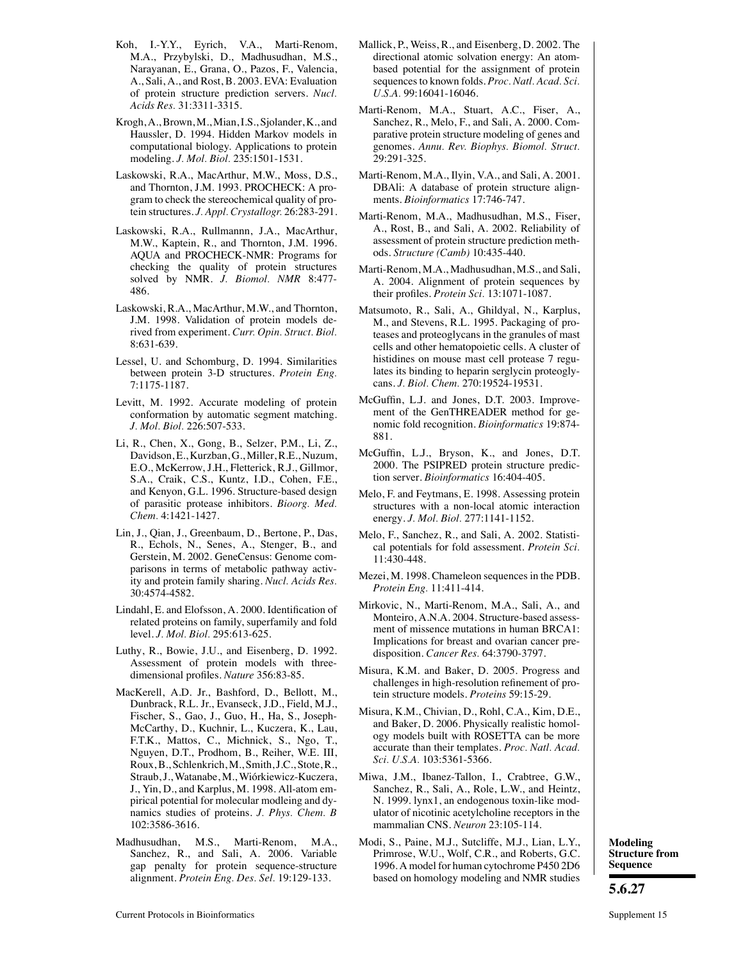- Koh, I.-Y.Y., Eyrich, V.A., Marti-Renom, M.A., Przybylski, D., Madhusudhan, M.S., Narayanan, E., Grana, O., Pazos, F., Valencia, A., Sali, A., and Rost, B. 2003. EVA: Evaluation of protein structure prediction servers. *Nucl. Acids Res.* 31:3311-3315.
- Krogh, A., Brown, M., Mian, I.S., Sjolander, K., and Haussler, D. 1994. Hidden Markov models in computational biology. Applications to protein modeling. *J. Mol. Biol.* 235:1501-1531.
- Laskowski, R.A., MacArthur, M.W., Moss, D.S., and Thornton, J.M. 1993. PROCHECK: A program to check the stereochemical quality of protein structures. *J. Appl. Crystallogr.* 26:283-291.
- Laskowski, R.A., Rullmannn, J.A., MacArthur, M.W., Kaptein, R., and Thornton, J.M. 1996. AQUA and PROCHECK-NMR: Programs for checking the quality of protein structures solved by NMR. *J. Biomol. NMR* 8:477- 486.
- Laskowski, R.A., MacArthur, M.W., and Thornton, J.M. 1998. Validation of protein models derived from experiment. *Curr. Opin. Struct. Biol.* 8:631-639.
- Lessel, U. and Schomburg, D. 1994. Similarities between protein 3-D structures. *Protein Eng.* 7:1175-1187.
- Levitt, M. 1992. Accurate modeling of protein conformation by automatic segment matching. *J. Mol. Biol.* 226:507-533.
- Li, R., Chen, X., Gong, B., Selzer, P.M., Li, Z., Davidson, E., Kurzban, G., Miller, R.E., Nuzum, E.O., McKerrow, J.H., Fletterick, R.J., Gillmor, S.A., Craik, C.S., Kuntz, I.D., Cohen, F.E., and Kenyon, G.L. 1996. Structure-based design of parasitic protease inhibitors. *Bioorg. Med. Chem.* 4:1421-1427.
- Lin, J., Qian, J., Greenbaum, D., Bertone, P., Das, R., Echols, N., Senes, A., Stenger, B., and Gerstein, M. 2002. GeneCensus: Genome comparisons in terms of metabolic pathway activity and protein family sharing. *Nucl. Acids Res.* 30:4574-4582.
- Lindahl, E. and Elofsson, A. 2000. Identification of related proteins on family, superfamily and fold level. *J. Mol. Biol.* 295:613-625.
- Luthy, R., Bowie, J.U., and Eisenberg, D. 1992. Assessment of protein models with threedimensional profiles. *Nature* 356:83-85.
- MacKerell, A.D. Jr., Bashford, D., Bellott, M., Dunbrack, R.L. Jr., Evanseck, J.D., Field, M.J., Fischer, S., Gao, J., Guo, H., Ha, S., Joseph-McCarthy, D., Kuchnir, L., Kuczera, K., Lau, F.T.K., Mattos, C., Michnick, S., Ngo, T., Nguyen, D.T., Prodhom, B., Reiher, W.E. III, Roux, B., Schlenkrich, M., Smith, J.C., Stote, R., Straub, J., Watanabe, M., Wiorkiewicz-Kuczera, ´ J., Yin, D., and Karplus, M. 1998. All-atom empirical potential for molecular modleing and dynamics studies of proteins. *J. Phys. Chem. B* 102:3586-3616.
- Madhusudhan, M.S., Marti-Renom, M.A., Sanchez, R., and Sali, A. 2006. Variable gap penalty for protein sequence-structure alignment. *Protein Eng. Des. Sel.* 19:129-133.
- Mallick, P., Weiss, R., and Eisenberg, D. 2002. The directional atomic solvation energy: An atombased potential for the assignment of protein sequences to known folds. *Proc. Natl. Acad. Sci. U.S.A.* 99:16041-16046.
- Marti-Renom, M.A., Stuart, A.C., Fiser, A., Sanchez, R., Melo, F., and Sali, A. 2000. Comparative protein structure modeling of genes and genomes. *Annu. Rev. Biophys. Biomol. Struct.* 29:291-325.
- Marti-Renom, M.A., Ilyin, V.A., and Sali, A. 2001. DBAli: A database of protein structure alignments. *Bioinformatics* 17:746-747.
- Marti-Renom, M.A., Madhusudhan, M.S., Fiser, A., Rost, B., and Sali, A. 2002. Reliability of assessment of protein structure prediction methods. *Structure (Camb)* 10:435-440.
- Marti-Renom, M.A., Madhusudhan, M.S., and Sali, A. 2004. Alignment of protein sequences by their profiles. *Protein Sci.* 13:1071-1087.
- Matsumoto, R., Sali, A., Ghildyal, N., Karplus, M., and Stevens, R.L. 1995. Packaging of proteases and proteoglycans in the granules of mast cells and other hematopoietic cells. A cluster of histidines on mouse mast cell protease 7 regulates its binding to heparin serglycin proteoglycans. *J. Biol. Chem.* 270:19524-19531.
- McGuffin, L.J. and Jones, D.T. 2003. Improvement of the GenTHREADER method for genomic fold recognition. *Bioinformatics* 19:874- 881.
- McGuffin, L.J., Bryson, K., and Jones, D.T. 2000. The PSIPRED protein structure prediction server. *Bioinformatics* 16:404-405.
- Melo, F. and Feytmans, E. 1998. Assessing protein structures with a non-local atomic interaction energy. *J. Mol. Biol.* 277:1141-1152.
- Melo, F., Sanchez, R., and Sali, A. 2002. Statistical potentials for fold assessment. *Protein Sci.* 11:430-448.
- Mezei, M. 1998. Chameleon sequences in the PDB. *Protein Eng.* 11:411-414.
- Mirkovic, N., Marti-Renom, M.A., Sali, A., and Monteiro, A.N.A. 2004. Structure-based assessment of missence mutations in human BRCA1: Implications for breast and ovarian cancer predisposition. *Cancer Res.* 64:3790-3797.
- Misura, K.M. and Baker, D. 2005. Progress and challenges in high-resolution refinement of protein structure models. *Proteins* 59:15-29.
- Misura, K.M., Chivian, D., Rohl, C.A., Kim, D.E., and Baker, D. 2006. Physically realistic homology models built with ROSETTA can be more accurate than their templates. *Proc. Natl. Acad. Sci. U.S.A.* 103:5361-5366.
- Miwa, J.M., Ibanez-Tallon, I., Crabtree, G.W., Sanchez, R., Sali, A., Role, L.W., and Heintz, N. 1999. lynx1, an endogenous toxin-like modulator of nicotinic acetylcholine receptors in the mammalian CNS. *Neuron* 23:105-114.
- Modi, S., Paine, M.J., Sutcliffe, M.J., Lian, L.Y., Primrose, W.U., Wolf, C.R., and Roberts, G.C. 1996. A model for human cytochrome P450 2D6 based on homology modeling and NMR studies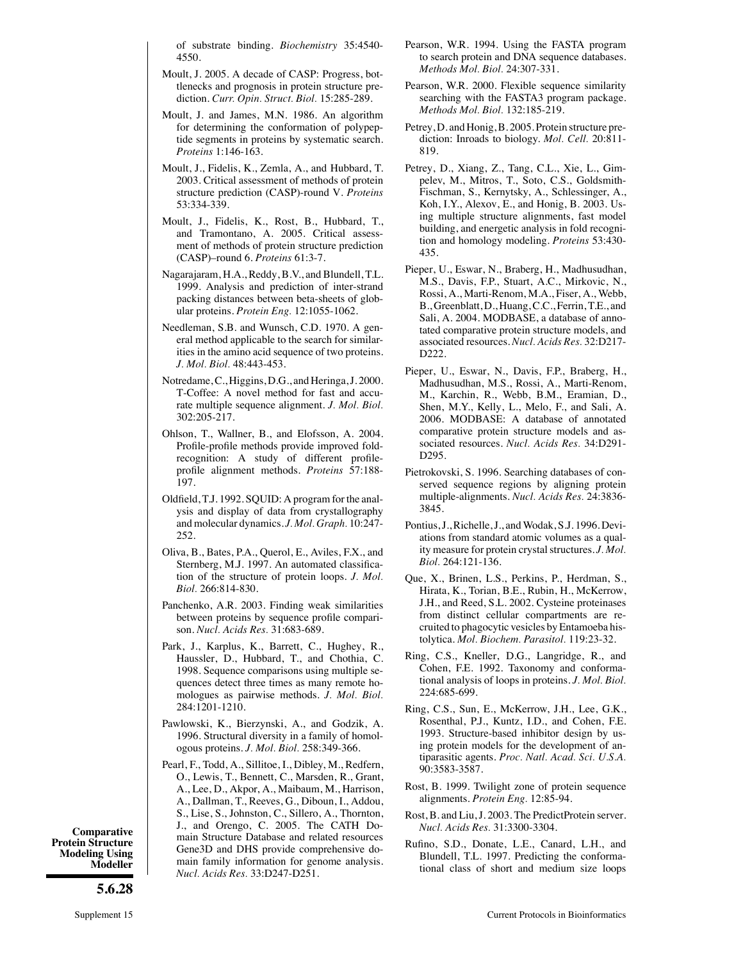of substrate binding. *Biochemistry* 35:4540- 4550.

- Moult, J. 2005. A decade of CASP: Progress, bottlenecks and prognosis in protein structure prediction. *Curr. Opin. Struct. Biol.* 15:285-289.
- Moult, J. and James, M.N. 1986. An algorithm for determining the conformation of polypeptide segments in proteins by systematic search. *Proteins* 1:146-163.
- Moult, J., Fidelis, K., Zemla, A., and Hubbard, T. 2003. Critical assessment of methods of protein structure prediction (CASP)-round V. *Proteins* 53:334-339.
- Moult, J., Fidelis, K., Rost, B., Hubbard, T., and Tramontano, A. 2005. Critical assessment of methods of protein structure prediction (CASP)–round 6. *Proteins* 61:3-7.
- Nagarajaram, H.A., Reddy, B.V., and Blundell, T.L. 1999. Analysis and prediction of inter-strand packing distances between beta-sheets of globular proteins. *Protein Eng.* 12:1055-1062.
- Needleman, S.B. and Wunsch, C.D. 1970. A general method applicable to the search for similarities in the amino acid sequence of two proteins. *J. Mol. Biol.* 48:443-453.
- Notredame, C., Higgins, D.G., and Heringa, J. 2000. T-Coffee: A novel method for fast and accurate multiple sequence alignment. *J. Mol. Biol.* 302:205-217.
- Ohlson, T., Wallner, B., and Elofsson, A. 2004. Profile-profile methods provide improved foldrecognition: A study of different profileprofile alignment methods. *Proteins* 57:188- 197.
- Oldfield, T.J. 1992. SQUID: A program for the analysis and display of data from crystallography and molecular dynamics. *J. Mol. Graph.* 10:247- 252.
- Oliva, B., Bates, P.A., Querol, E., Aviles, F.X., and Sternberg, M.J. 1997. An automated classification of the structure of protein loops. *J. Mol. Biol.* 266:814-830.
- Panchenko, A.R. 2003. Finding weak similarities between proteins by sequence profile comparison. *Nucl. Acids Res.* 31:683-689.
- Park, J., Karplus, K., Barrett, C., Hughey, R., Haussler, D., Hubbard, T., and Chothia, C. 1998. Sequence comparisons using multiple sequences detect three times as many remote homologues as pairwise methods. *J. Mol. Biol.* 284:1201-1210.
- Pawlowski, K., Bierzynski, A., and Godzik, A. 1996. Structural diversity in a family of homologous proteins. *J. Mol. Biol.* 258:349-366.
- Pearl, F., Todd, A., Sillitoe, I., Dibley, M., Redfern, O., Lewis, T., Bennett, C., Marsden, R., Grant, A., Lee, D., Akpor, A., Maibaum, M., Harrison, A., Dallman, T., Reeves, G., Diboun, I., Addou, S., Lise, S., Johnston, C., Sillero, A., Thornton, J., and Orengo, C. 2005. The CATH Domain Structure Database and related resources Gene3D and DHS provide comprehensive domain family information for genome analysis. *Nucl. Acids Res.* 33:D247-D251.
- Pearson, W.R. 1994. Using the FASTA program to search protein and DNA sequence databases. *Methods Mol. Biol.* 24:307-331.
- Pearson, W.R. 2000. Flexible sequence similarity searching with the FASTA3 program package. *Methods Mol. Biol.* 132:185-219.
- Petrey, D. and Honig, B. 2005. Protein structure prediction: Inroads to biology. *Mol. Cell.* 20:811- 819.
- Petrey, D., Xiang, Z., Tang, C.L., Xie, L., Gimpelev, M., Mitros, T., Soto, C.S., Goldsmith-Fischman, S., Kernytsky, A., Schlessinger, A., Koh, I.Y., Alexov, E., and Honig, B. 2003. Using multiple structure alignments, fast model building, and energetic analysis in fold recognition and homology modeling. *Proteins* 53:430- 435.
- Pieper, U., Eswar, N., Braberg, H., Madhusudhan, M.S., Davis, F.P., Stuart, A.C., Mirkovic, N., Rossi, A., Marti-Renom, M.A., Fiser, A., Webb, B., Greenblatt, D., Huang, C.C., Ferrin, T.E., and Sali, A. 2004. MODBASE, a database of annotated comparative protein structure models, and associated resources. *Nucl. Acids Res.* 32:D217- D<sub>222</sub>.
- Pieper, U., Eswar, N., Davis, F.P., Braberg, H., Madhusudhan, M.S., Rossi, A., Marti-Renom, M., Karchin, R., Webb, B.M., Eramian, D., Shen, M.Y., Kelly, L., Melo, F., and Sali, A. 2006. MODBASE: A database of annotated comparative protein structure models and associated resources. *Nucl. Acids Res.* 34:D291- D295.
- Pietrokovski, S. 1996. Searching databases of conserved sequence regions by aligning protein multiple-alignments. *Nucl. Acids Res.* 24:3836- 3845.
- Pontius, J., Richelle, J., and Wodak, S.J. 1996. Deviations from standard atomic volumes as a quality measure for protein crystal structures. *J. Mol. Biol.* 264:121-136.
- Que, X., Brinen, L.S., Perkins, P., Herdman, S., Hirata, K., Torian, B.E., Rubin, H., McKerrow, J.H., and Reed, S.L. 2002. Cysteine proteinases from distinct cellular compartments are recruited to phagocytic vesicles by Entamoeba histolytica. *Mol. Biochem. Parasitol.* 119:23-32.
- Ring, C.S., Kneller, D.G., Langridge, R., and Cohen, F.E. 1992. Taxonomy and conformational analysis of loops in proteins. *J. Mol. Biol.* 224:685-699.
- Ring, C.S., Sun, E., McKerrow, J.H., Lee, G.K., Rosenthal, P.J., Kuntz, I.D., and Cohen, F.E. 1993. Structure-based inhibitor design by using protein models for the development of antiparasitic agents. *Proc. Natl. Acad. Sci. U.S.A.* 90:3583-3587.
- Rost, B. 1999. Twilight zone of protein sequence alignments. *Protein Eng.* 12:85-94.
- Rost, B. and Liu, J. 2003. The PredictProtein server. *Nucl. Acids Res.* 31:3300-3304.
- Rufino, S.D., Donate, L.E., Canard, L.H., and Blundell, T.L. 1997. Predicting the conformational class of short and medium size loops

**Comparative Protein Structure Modeling Using Modeller**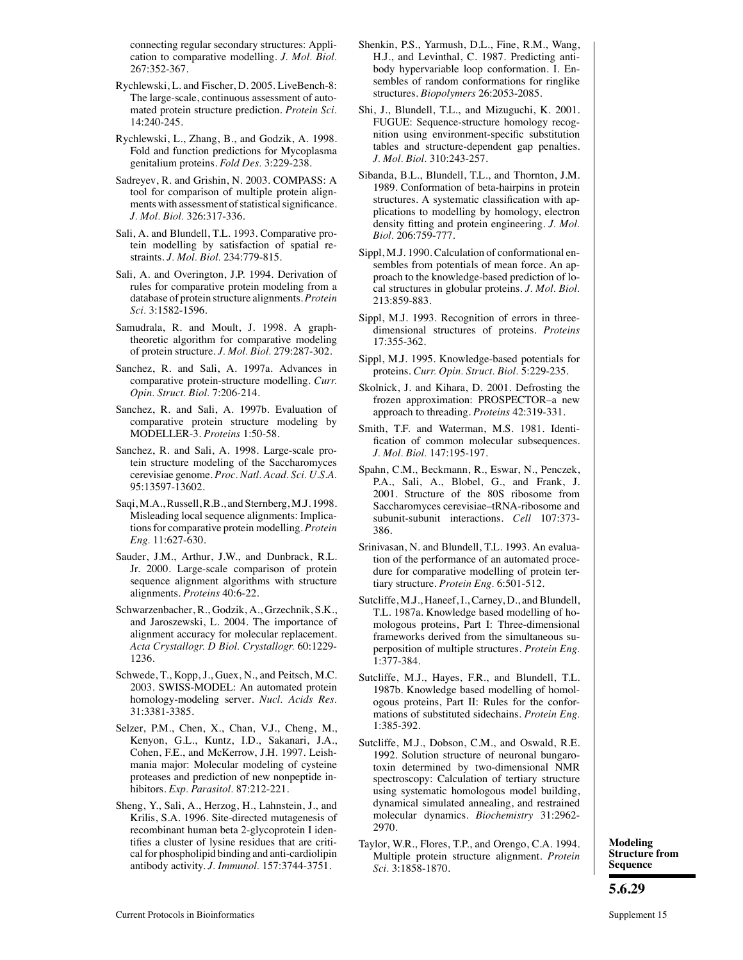connecting regular secondary structures: Application to comparative modelling. *J. Mol. Biol.* 267:352-367.

- Rychlewski, L. and Fischer, D. 2005. LiveBench-8: The large-scale, continuous assessment of automated protein structure prediction. *Protein Sci.* 14:240-245.
- Rychlewski, L., Zhang, B., and Godzik, A. 1998. Fold and function predictions for Mycoplasma genitalium proteins. *Fold Des.* 3:229-238.
- Sadreyev, R. and Grishin, N. 2003. COMPASS: A tool for comparison of multiple protein alignments with assessment of statistical significance. *J. Mol. Biol.* 326:317-336.
- Sali, A. and Blundell, T.L. 1993. Comparative protein modelling by satisfaction of spatial restraints. *J. Mol. Biol.* 234:779-815.
- Sali, A. and Overington, J.P. 1994. Derivation of rules for comparative protein modeling from a database of protein structure alignments. *Protein Sci.* 3:1582-1596.
- Samudrala, R. and Moult, J. 1998. A graphtheoretic algorithm for comparative modeling of protein structure. *J. Mol. Biol.* 279:287-302.
- Sanchez, R. and Sali, A. 1997a. Advances in comparative protein-structure modelling. *Curr. Opin. Struct. Biol.* 7:206-214.
- Sanchez, R. and Sali, A. 1997b. Evaluation of comparative protein structure modeling by MODELLER-3. *Proteins* 1:50-58.
- Sanchez, R. and Sali, A. 1998. Large-scale protein structure modeling of the Saccharomyces cerevisiae genome. *Proc. Natl. Acad. Sci. U.S.A.* 95:13597-13602.
- Saqi, M.A., Russell, R.B., and Sternberg, M.J. 1998. Misleading local sequence alignments: Implications for comparative protein modelling. *Protein Eng.* 11:627-630.
- Sauder, J.M., Arthur, J.W., and Dunbrack, R.L. Jr. 2000. Large-scale comparison of protein sequence alignment algorithms with structure alignments. *Proteins* 40:6-22.
- Schwarzenbacher, R., Godzik, A., Grzechnik, S.K., and Jaroszewski, L. 2004. The importance of alignment accuracy for molecular replacement. *Acta Crystallogr. D Biol. Crystallogr.* 60:1229- 1236.
- Schwede, T., Kopp, J., Guex, N., and Peitsch, M.C. 2003. SWISS-MODEL: An automated protein homology-modeling server. *Nucl. Acids Res.* 31:3381-3385.
- Selzer, P.M., Chen, X., Chan, V.J., Cheng, M., Kenyon, G.L., Kuntz, I.D., Sakanari, J.A., Cohen, F.E., and McKerrow, J.H. 1997. Leishmania major: Molecular modeling of cysteine proteases and prediction of new nonpeptide inhibitors. *Exp. Parasitol.* 87:212-221.
- Sheng, Y., Sali, A., Herzog, H., Lahnstein, J., and Krilis, S.A. 1996. Site-directed mutagenesis of recombinant human beta 2-glycoprotein I identifies a cluster of lysine residues that are critical for phospholipid binding and anti-cardiolipin antibody activity. *J. Immunol.* 157:3744-3751.
- Shenkin, P.S., Yarmush, D.L., Fine, R.M., Wang, H.J., and Levinthal, C. 1987. Predicting antibody hypervariable loop conformation. I. Ensembles of random conformations for ringlike structures. *Biopolymers* 26:2053-2085.
- Shi, J., Blundell, T.L., and Mizuguchi, K. 2001. FUGUE: Sequence-structure homology recognition using environment-specific substitution tables and structure-dependent gap penalties. *J. Mol. Biol.* 310:243-257.
- Sibanda, B.L., Blundell, T.L., and Thornton, J.M. 1989. Conformation of beta-hairpins in protein structures. A systematic classification with applications to modelling by homology, electron density fitting and protein engineering. *J. Mol. Biol.* 206:759-777.
- Sippl, M.J. 1990. Calculation of conformational ensembles from potentials of mean force. An approach to the knowledge-based prediction of local structures in globular proteins. *J. Mol. Biol.* 213:859-883.
- Sippl, M.J. 1993. Recognition of errors in threedimensional structures of proteins. *Proteins* 17:355-362.
- Sippl, M.J. 1995. Knowledge-based potentials for proteins. *Curr. Opin. Struct. Biol.* 5:229-235.
- Skolnick, J. and Kihara, D. 2001. Defrosting the frozen approximation: PROSPECTOR–a new approach to threading. *Proteins* 42:319-331.
- Smith, T.F. and Waterman, M.S. 1981. Identification of common molecular subsequences. *J. Mol. Biol.* 147:195-197.
- Spahn, C.M., Beckmann, R., Eswar, N., Penczek, P.A., Sali, A., Blobel, G., and Frank, J. 2001. Structure of the 80S ribosome from Saccharomyces cerevisiae–tRNA-ribosome and subunit-subunit interactions. *Cell* 107:373- 386.
- Srinivasan, N. and Blundell, T.L. 1993. An evaluation of the performance of an automated procedure for comparative modelling of protein tertiary structure. *Protein Eng.* 6:501-512.
- Sutcliffe, M.J., Haneef, I., Carney, D., and Blundell, T.L. 1987a. Knowledge based modelling of homologous proteins, Part I: Three-dimensional frameworks derived from the simultaneous superposition of multiple structures. *Protein Eng.* 1:377-384.
- Sutcliffe, M.J., Hayes, F.R., and Blundell, T.L. 1987b. Knowledge based modelling of homologous proteins, Part II: Rules for the conformations of substituted sidechains. *Protein Eng.* 1:385-392.
- Sutcliffe, M.J., Dobson, C.M., and Oswald, R.E. 1992. Solution structure of neuronal bungarotoxin determined by two-dimensional NMR spectroscopy: Calculation of tertiary structure using systematic homologous model building, dynamical simulated annealing, and restrained molecular dynamics. *Biochemistry* 31:2962- 2970.
- Taylor, W.R., Flores, T.P., and Orengo, C.A. 1994. Multiple protein structure alignment. *Protein Sci.* 3:1858-1870.